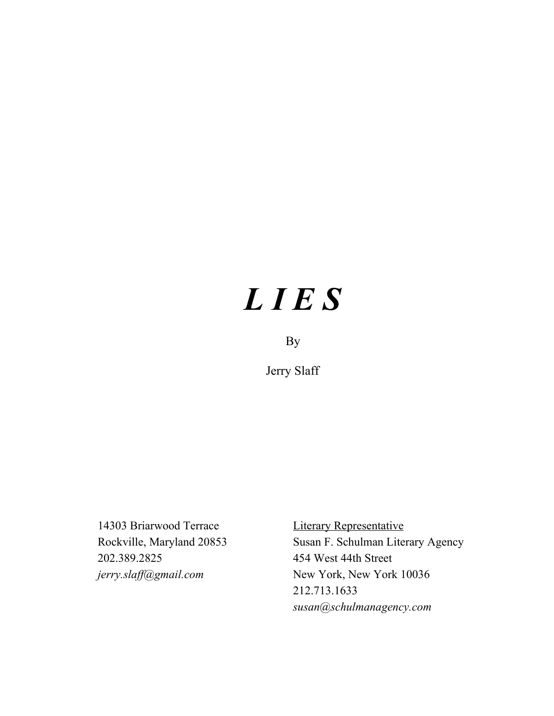# *L I E S*

# By

Jerry Slaff

14303 Briarwood Terrace Literary Representative 202.389.2825 454 West 44th Street

Rockville, Maryland 20853 Susan F. Schulman Literary Agency *jerry.slaf @gmail.com* New York, New York 10036 212.713.1633 *susan@schulmanagency.com*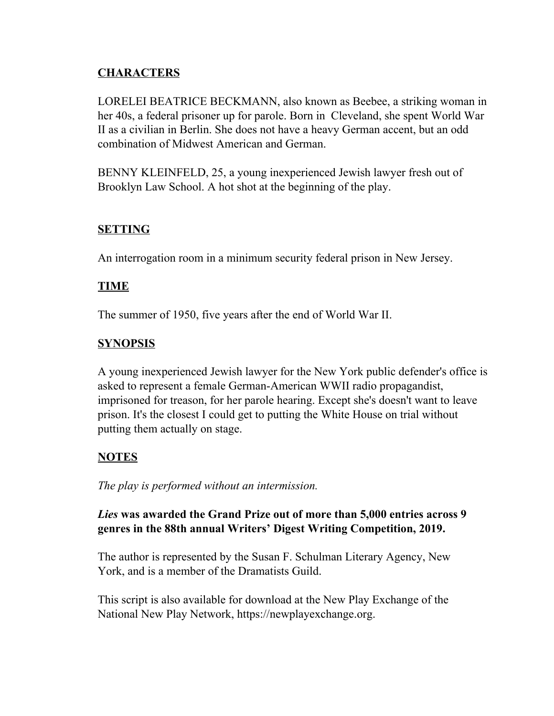# **CHARACTERS**

LORELEI BEATRICE BECKMANN, also known as Beebee, a striking woman in her 40s, a federal prisoner up for parole. Born in Cleveland, she spent World War II as a civilian in Berlin. She does not have a heavy German accent, but an odd combination of Midwest American and German.

BENNY KLEINFELD, 25, a young inexperienced Jewish lawyer fresh out of Brooklyn Law School. A hot shot at the beginning of the play.

# **SETTING**

An interrogation room in a minimum security federal prison in New Jersey.

# **TIME**

The summer of 1950, five years after the end of World War II.

# **SYNOPSIS**

A young inexperienced Jewish lawyer for the New York public defender's office is asked to represent a female German-American WWII radio propagandist, imprisoned for treason, for her parole hearing. Except she's doesn't want to leave prison. It's the closest I could get to putting the White House on trial without putting them actually on stage.

# **NOTES**

*The play is performed without an intermission.*

# *Lies* **was awarded the Grand Prize out of more than 5,000 entries across 9 genres in the 88th annual Writers' Digest Writing Competition, 2019.**

The author is represented by the Susan F. Schulman Literary Agency, New York, and is a member of the Dramatists Guild.

This script is also available for download at the New Play Exchange of the National New Play Network, https://newplayexchange.org.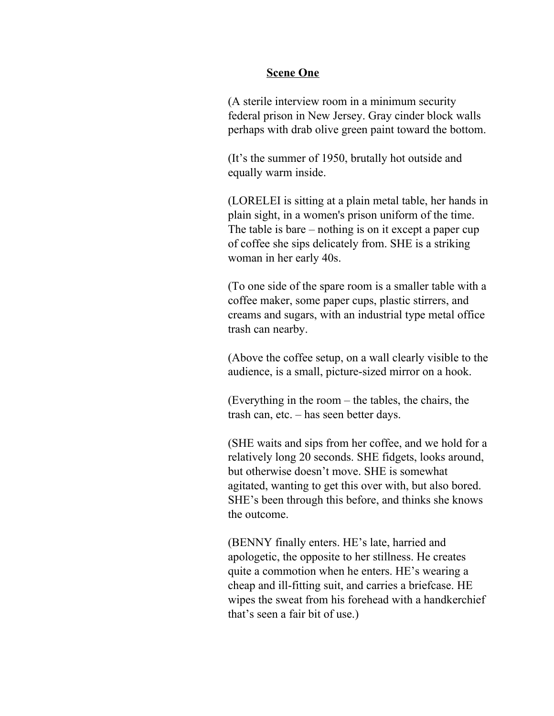## **Scene One**

(A sterile interview room in a minimum security federal prison in New Jersey. Gray cinder block walls perhaps with drab olive green paint toward the bottom.

(It's the summer of 1950, brutally hot outside and equally warm inside.

(LORELEI is sitting at a plain metal table, her hands in plain sight, in a women's prison uniform of the time. The table is bare – nothing is on it except a paper cup of coffee she sips delicately from. SHE is a striking woman in her early 40s.

(To one side of the spare room is a smaller table with a coffee maker, some paper cups, plastic stirrers, and creams and sugars, with an industrial type metal office trash can nearby.

(Above the coffee setup, on a wall clearly visible to the audience, is a small, picture-sized mirror on a hook.

(Everything in the room – the tables, the chairs, the trash can, etc. – has seen better days.

(SHE waits and sips from her coffee, and we hold for a relatively long 20 seconds. SHE fidgets, looks around, but otherwise doesn't move. SHE is somewhat agitated, wanting to get this over with, but also bored. SHE's been through this before, and thinks she knows the outcome.

(BENNY finally enters. HE's late, harried and apologetic, the opposite to her stillness. He creates quite a commotion when he enters. HE's wearing a cheap and ill-fitting suit, and carries a briefcase. HE wipes the sweat from his forehead with a handkerchief that's seen a fair bit of use.)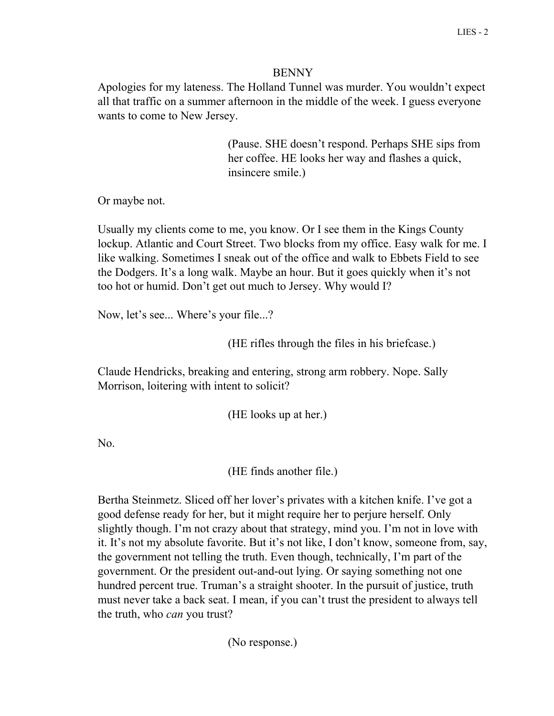## BENNY

Apologies for my lateness. The Holland Tunnel was murder. You wouldn't expect all that traffic on a summer afternoon in the middle of the week. I guess everyone wants to come to New Jersey.

> (Pause. SHE doesn't respond. Perhaps SHE sips from her coffee. HE looks her way and flashes a quick, insincere smile.)

Or maybe not.

Usually my clients come to me, you know. Or I see them in the Kings County lockup. Atlantic and Court Street. Two blocks from my office. Easy walk for me. I like walking. Sometimes I sneak out of the office and walk to Ebbets Field to see the Dodgers. It's a long walk. Maybe an hour. But it goes quickly when it's not too hot or humid. Don't get out much to Jersey. Why would I?

Now, let's see... Where's your file...?

(HE rifles through the files in his briefcase.)

Claude Hendricks, breaking and entering, strong arm robbery. Nope. Sally Morrison, loitering with intent to solicit?

(HE looks up at her.)

No.

(HE finds another file.)

Bertha Steinmetz. Sliced off her lover's privates with a kitchen knife. I've got a good defense ready for her, but it might require her to perjure herself. Only slightly though. I'm not crazy about that strategy, mind you. I'm not in love with it. It's not my absolute favorite. But it's not like, I don't know, someone from, say, the government not telling the truth. Even though, technically, I'm part of the government. Or the president out-and-out lying. Or saying something not one hundred percent true. Truman's a straight shooter. In the pursuit of justice, truth must never take a back seat. I mean, if you can't trust the president to always tell the truth, who *can* you trust?

(No response.)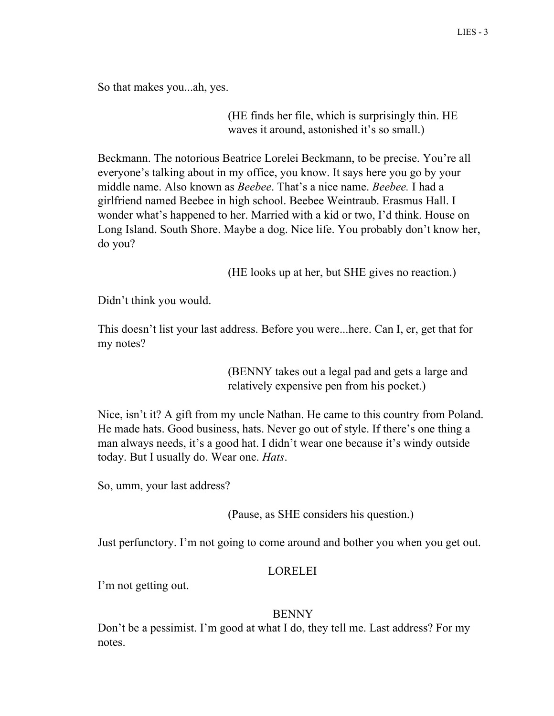So that makes you...ah, yes.

(HE finds her file, which is surprisingly thin. HE waves it around, astonished it's so small.)

Beckmann. The notorious Beatrice Lorelei Beckmann, to be precise. You're all everyone's talking about in my office, you know. It says here you go by your middle name. Also known as *Beebee*. That's a nice name. *Beebee.* I had a girlfriend named Beebee in high school. Beebee Weintraub. Erasmus Hall. I wonder what's happened to her. Married with a kid or two, I'd think. House on Long Island. South Shore. Maybe a dog. Nice life. You probably don't know her, do you?

(HE looks up at her, but SHE gives no reaction.)

Didn't think you would.

This doesn't list your last address. Before you were...here. Can I, er, get that for my notes?

> (BENNY takes out a legal pad and gets a large and relatively expensive pen from his pocket.)

Nice, isn't it? A gift from my uncle Nathan. He came to this country from Poland. He made hats. Good business, hats. Never go out of style. If there's one thing a man always needs, it's a good hat. I didn't wear one because it's windy outside today. But I usually do. Wear one. *Hats*.

So, umm, your last address?

(Pause, as SHE considers his question.)

Just perfunctory. I'm not going to come around and bother you when you get out.

## LORELEI

I'm not getting out.

## **BENNY**

Don't be a pessimist. I'm good at what I do, they tell me. Last address? For my notes.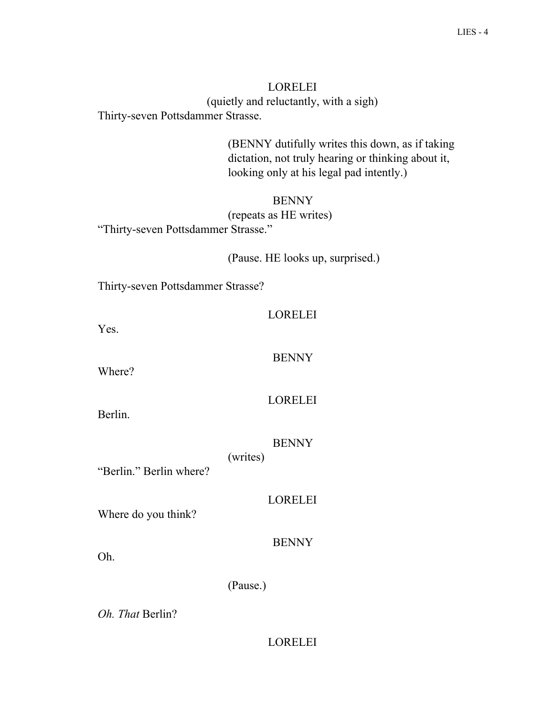# LORELEI (quietly and reluctantly, with a sigh) Thirty-seven Pottsdammer Strasse.

(BENNY dutifully writes this down, as if taking dictation, not truly hearing or thinking about it, looking only at his legal pad intently.)

# BENNY (repeats as HE writes) "Thirty-seven Pottsdammer Strasse."

(Pause. HE looks up, surprised.)

Thirty-seven Pottsdammer Strasse?

| -12<br>/R I<br>г. |
|-------------------|
|-------------------|

Yes.

BENNY

Where?

LORELEI

Berlin.

**BENNY** 

(writes)

"Berlin." Berlin where?

LORELEI

Where do you think?

**BENNY** 

Oh.

(Pause.)

*Oh. That* Berlin?

# LORELEI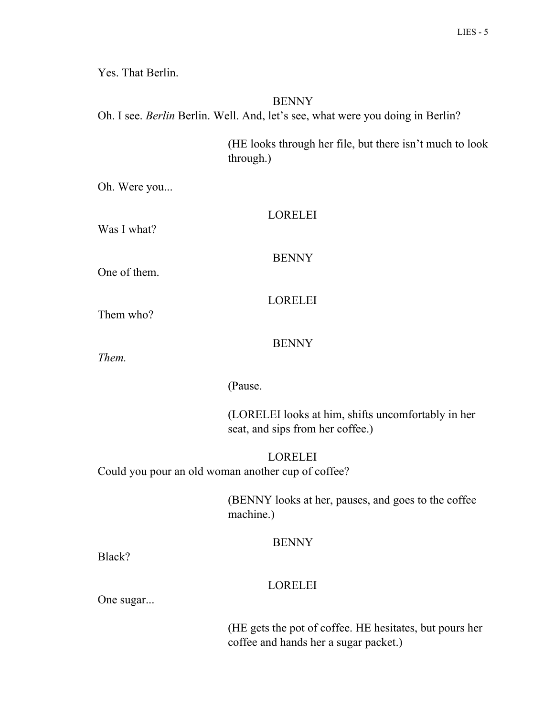Yes. That Berlin.

# BENNY

Oh. I see. *Berlin* Berlin. Well. And, let's see, what were you doing in Berlin?

(HE looks through her file, but there isn't much to look through.)

Oh. Were you...

| Was I what?                                        | <b>LORELEI</b>                                                                                   |
|----------------------------------------------------|--------------------------------------------------------------------------------------------------|
|                                                    |                                                                                                  |
| One of them.                                       | <b>BENNY</b>                                                                                     |
|                                                    |                                                                                                  |
| Them who?                                          | <b>LORELEI</b>                                                                                   |
|                                                    | <b>BENNY</b>                                                                                     |
| Them.                                              |                                                                                                  |
|                                                    | (Pause.                                                                                          |
|                                                    | (LORELEI looks at him, shifts uncomfortably in her<br>seat, and sips from her coffee.)           |
| Could you pour an old woman another cup of coffee? | <b>LORELEI</b>                                                                                   |
|                                                    | (BENNY looks at her, pauses, and goes to the coffee<br>machine.)                                 |
|                                                    | <b>BENNY</b>                                                                                     |
| Black?                                             |                                                                                                  |
| One sugar                                          | <b>LORELEI</b>                                                                                   |
|                                                    | (HE gets the pot of coffee. HE hesitates, but pours her<br>coffee and hands her a sugar packet.) |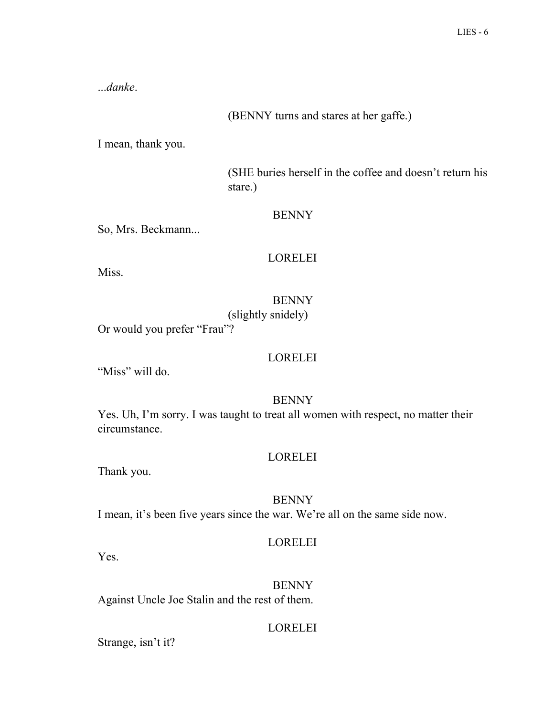...*danke*.

(BENNY turns and stares at her gaffe.)

I mean, thank you.

(SHE buries herself in the coffee and doesn't return his stare.)

## **BENNY**

So, Mrs. Beckmann...

# LORELEI

Miss.

BENNY

(slightly snidely)

Or would you prefer "Frau"?

# LORELEI

"Miss" will do.

# **BENNY**

Yes. Uh, I'm sorry. I was taught to treat all women with respect, no matter their circumstance.

# LORELEI

Thank you.

# BENNY

I mean, it's been five years since the war. We're all on the same side now.

# LORELEI

Yes.

BENNY Against Uncle Joe Stalin and the rest of them.

# LORELEI

Strange, isn't it?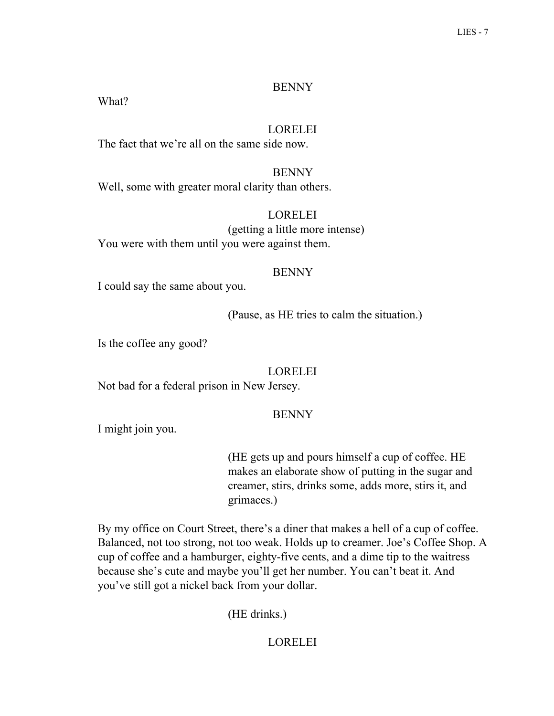## **BENNY**

What?

# LORELEI

The fact that we're all on the same side now.

**BENNY** Well, some with greater moral clarity than others.

# LORELEI

(getting a little more intense) You were with them until you were against them.

## BENNY

I could say the same about you.

(Pause, as HE tries to calm the situation.)

Is the coffee any good?

# LORELEI

Not bad for a federal prison in New Jersey.

# BENNY

I might join you.

(HE gets up and pours himself a cup of coffee. HE makes an elaborate show of putting in the sugar and creamer, stirs, drinks some, adds more, stirs it, and grimaces.)

By my office on Court Street, there's a diner that makes a hell of a cup of coffee. Balanced, not too strong, not too weak. Holds up to creamer. Joe's Coffee Shop. A cup of coffee and a hamburger, eighty-five cents, and a dime tip to the waitress because she's cute and maybe you'll get her number. You can't beat it. And you've still got a nickel back from your dollar.

(HE drinks.)

# **LORELEI**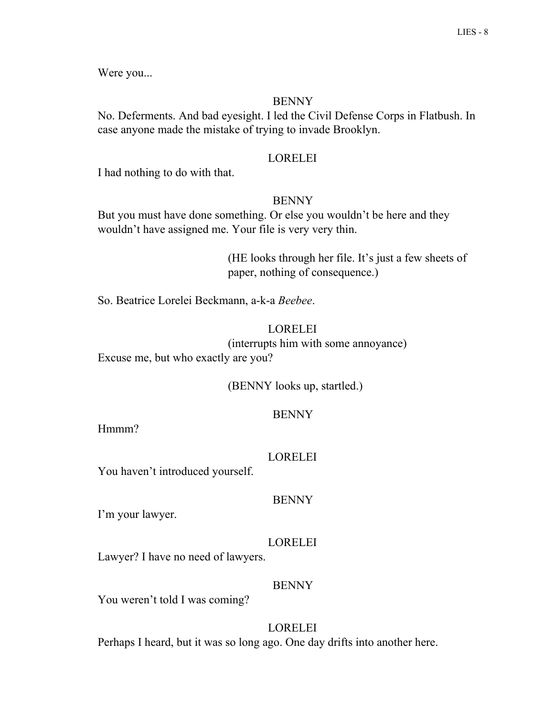Were you...

#### BENNY

No. Deferments. And bad eyesight. I led the Civil Defense Corps in Flatbush. In case anyone made the mistake of trying to invade Brooklyn.

#### LORELEI

I had nothing to do with that.

#### BENNY

But you must have done something. Or else you wouldn't be here and they wouldn't have assigned me. Your file is very very thin.

> (HE looks through her file. It's just a few sheets of paper, nothing of consequence.)

So. Beatrice Lorelei Beckmann, a-k-a *Beebee*.

# LORELEI

(interrupts him with some annoyance) Excuse me, but who exactly are you?

(BENNY looks up, startled.)

## **BENNY**

Hmmm?

#### LORELEI

You haven't introduced yourself.

#### BENNY

I'm your lawyer.

## LORELEI

Lawyer? I have no need of lawyers.

#### BENNY

You weren't told I was coming?

**LORELEI** Perhaps I heard, but it was so long ago. One day drifts into another here.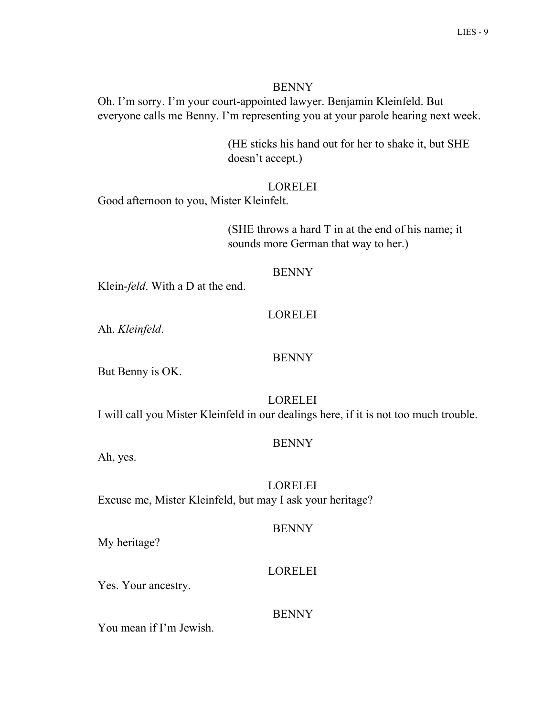#### BENNY

Oh. I'm sorry. I'm your court-appointed lawyer. Benjamin Kleinfeld. But everyone calls me Benny. I'm representing you at your parole hearing next week.

> (HE sticks his hand out for her to shake it, but SHE doesn't accept.)

## LORELEI

Good afternoon to you, Mister Kleinfelt.

(SHE throws a hard T in at the end of his name; it sounds more German that way to her.)

#### BENNY

Klein-*feld*. With a D at the end.

## LORELEI

Ah. *Kleinfeld*.

## BENNY

But Benny is OK.

LORELEI

I will call you Mister Kleinfeld in our dealings here, if it is not too much trouble.

## BENNY

Ah, yes.

LORELEI Excuse me, Mister Kleinfeld, but may I ask your heritage?

## **BENNY**

My heritage?

## LORELEI

Yes. Your ancestry.

# **BENNY**

You mean if I'm Jewish.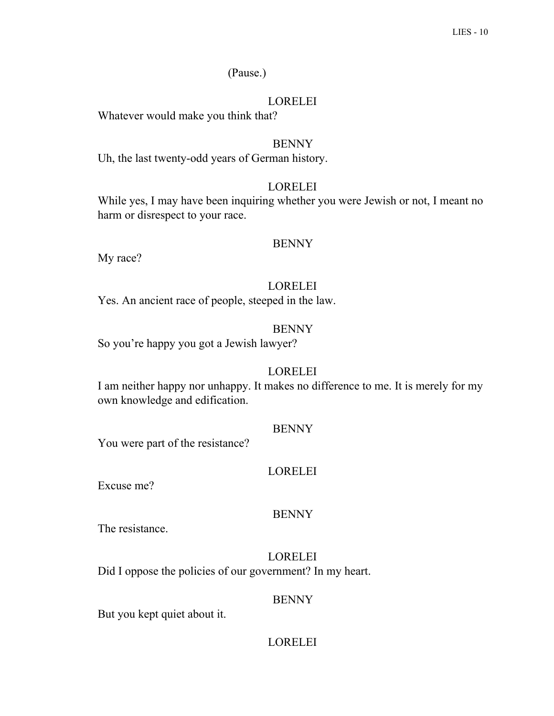# (Pause.)

# LORELEI

Whatever would make you think that?

# BENNY

Uh, the last twenty-odd years of German history.

# LORELEI

While yes, I may have been inquiring whether you were Jewish or not, I meant no harm or disrespect to your race.

## BENNY

My race?

# LORELEI

Yes. An ancient race of people, steeped in the law.

# BENNY

So you're happy you got a Jewish lawyer?

# LORELEI

I am neither happy nor unhappy. It makes no difference to me. It is merely for my own knowledge and edification.

## BENNY

You were part of the resistance?

# LORELEI

Excuse me?

# BENNY

The resistance.

# LORELEI Did I oppose the policies of our government? In my heart.

# BENNY

But you kept quiet about it.

# LORELEI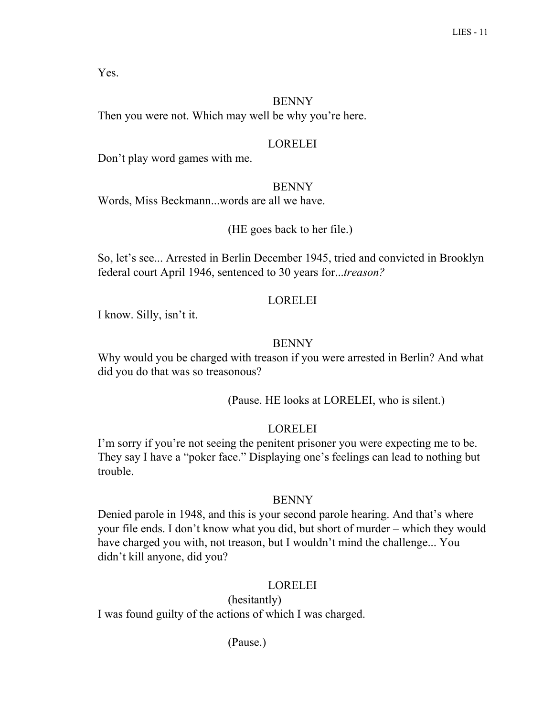Yes.

# **BENNY**

Then you were not. Which may well be why you're here.

# LORELEI

Don't play word games with me.

# BENNY

Words, Miss Beckmann...words are all we have.

(HE goes back to her file.)

So, let's see... Arrested in Berlin December 1945, tried and convicted in Brooklyn federal court April 1946, sentenced to 30 years for...*treason?*

# LORELEI

I know. Silly, isn't it.

# BENNY

Why would you be charged with treason if you were arrested in Berlin? And what did you do that was so treasonous?

(Pause. HE looks at LORELEI, who is silent.)

# LORELEI

I'm sorry if you're not seeing the penitent prisoner you were expecting me to be. They say I have a "poker face." Displaying one's feelings can lead to nothing but trouble.

# BENNY

Denied parole in 1948, and this is your second parole hearing. And that's where your file ends. I don't know what you did, but short of murder – which they would have charged you with, not treason, but I wouldn't mind the challenge... You didn't kill anyone, did you?

# LORELEI

(hesitantly) I was found guilty of the actions of which I was charged.

(Pause.)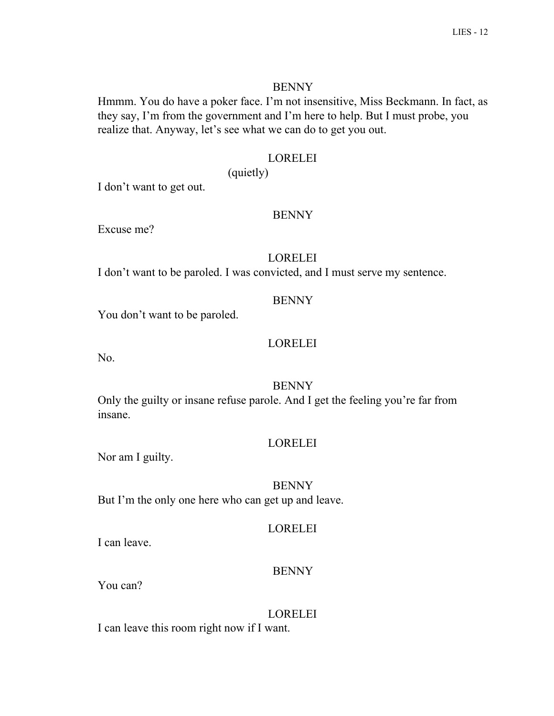#### **BENNY**

Hmmm. You do have a poker face. I'm not insensitive, Miss Beckmann. In fact, as they say, I'm from the government and I'm here to help. But I must probe, you realize that. Anyway, let's see what we can do to get you out.

## LORELEI

(quietly)

I don't want to get out.

## **BENNY**

Excuse me?

## LORELEI

I don't want to be paroled. I was convicted, and I must serve my sentence.

## BENNY

You don't want to be paroled.

## LORELEI

No.

## BENNY

Only the guilty or insane refuse parole. And I get the feeling you're far from insane.

#### LORELEI

Nor am I guilty.

## BENNY

But I'm the only one here who can get up and leave.

#### LORELEI

I can leave.

## BENNY

You can?

LORELEI I can leave this room right now if I want.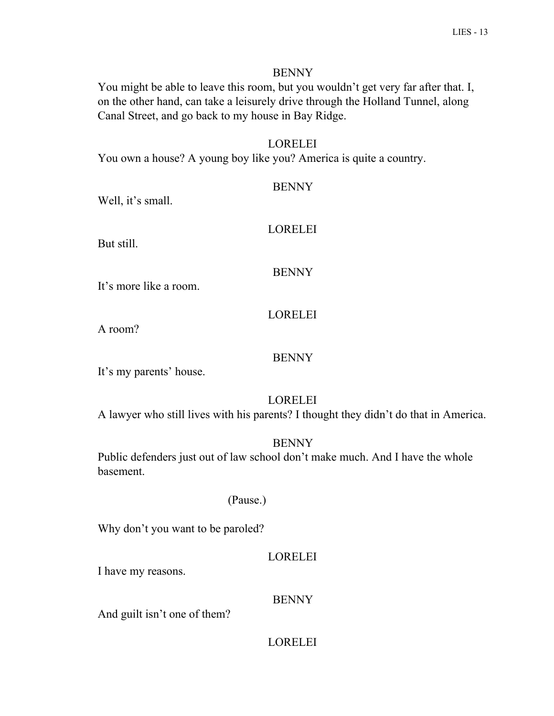#### BENNY

You might be able to leave this room, but you wouldn't get very far after that. I, on the other hand, can take a leisurely drive through the Holland Tunnel, along Canal Street, and go back to my house in Bay Ridge.

## LORELEI

You own a house? A young boy like you? America is quite a country.

| <b>BENNY</b>   |
|----------------|
| <b>LORELEI</b> |
| <b>BENNY</b>   |

It's more like a room.

Well, it's small.

# LORELEI

A room?

But still.

# BENNY

It's my parents' house.

## LORELEI

A lawyer who still lives with his parents? I thought they didn't do that in America.

## BENNY

Public defenders just out of law school don't make much. And I have the whole basement.

## (Pause.)

Why don't you want to be paroled?

## LORELEI

I have my reasons.

## BENNY

And guilt isn't one of them?

## LORELEI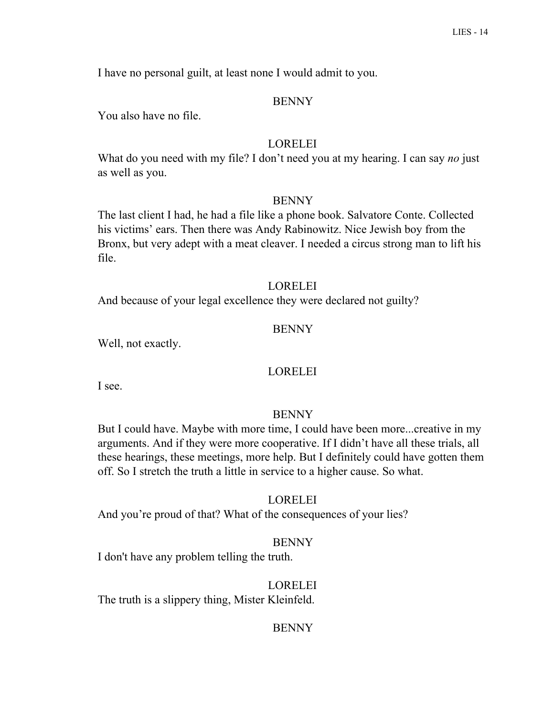I have no personal guilt, at least none I would admit to you.

#### BENNY

You also have no file.

## LORELEI

What do you need with my file? I don't need you at my hearing. I can say *no* just as well as you.

#### BENNY

The last client I had, he had a file like a phone book. Salvatore Conte. Collected his victims' ears. Then there was Andy Rabinowitz. Nice Jewish boy from the Bronx, but very adept with a meat cleaver. I needed a circus strong man to lift his file.

#### LORELEI

And because of your legal excellence they were declared not guilty?

#### BENNY

Well, not exactly.

#### LORELEI

I see.

#### **BENNY**

But I could have. Maybe with more time, I could have been more...creative in my arguments. And if they were more cooperative. If I didn't have all these trials, all these hearings, these meetings, more help. But I definitely could have gotten them off. So I stretch the truth a little in service to a higher cause. So what.

#### LORELEI

And you're proud of that? What of the consequences of your lies?

#### BENNY

I don't have any problem telling the truth.

#### LORELEI

The truth is a slippery thing, Mister Kleinfeld.

#### BENNY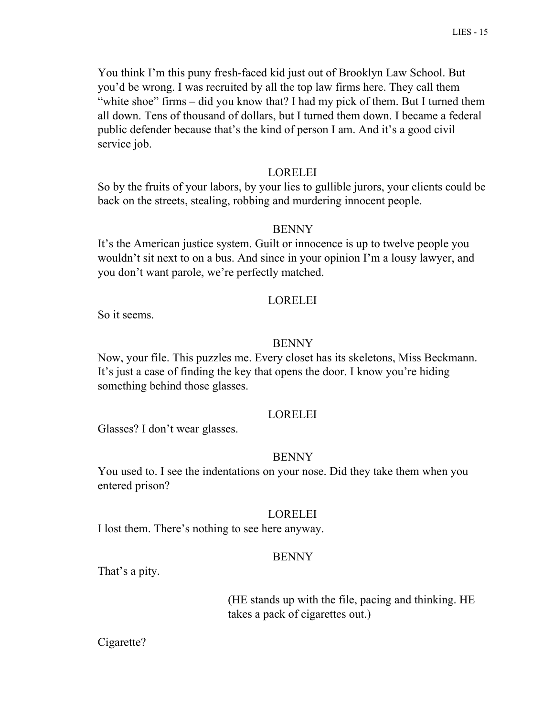You think I'm this puny fresh-faced kid just out of Brooklyn Law School. But you'd be wrong. I was recruited by all the top law firms here. They call them "white shoe" firms – did you know that? I had my pick of them. But I turned them all down. Tens of thousand of dollars, but I turned them down. I became a federal public defender because that's the kind of person I am. And it's a good civil service job.

#### LORELEI

So by the fruits of your labors, by your lies to gullible jurors, your clients could be back on the streets, stealing, robbing and murdering innocent people.

#### BENNY

It's the American justice system. Guilt or innocence is up to twelve people you wouldn't sit next to on a bus. And since in your opinion I'm a lousy lawyer, and you don't want parole, we're perfectly matched.

#### LORELEI

So it seems.

#### BENNY

Now, your file. This puzzles me. Every closet has its skeletons, Miss Beckmann. It's just a case of finding the key that opens the door. I know you're hiding something behind those glasses.

#### **LORELEI**

Glasses? I don't wear glasses.

#### BENNY

You used to. I see the indentations on your nose. Did they take them when you entered prison?

#### LORELEI

I lost them. There's nothing to see here anyway.

#### BENNY

That's a pity.

(HE stands up with the file, pacing and thinking. HE takes a pack of cigarettes out.)

Cigarette?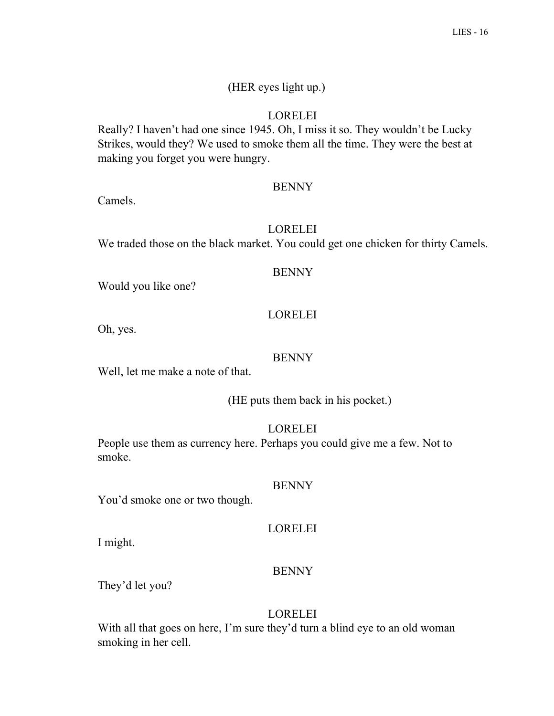# (HER eyes light up.)

# LORELEI

Really? I haven't had one since 1945. Oh, I miss it so. They wouldn't be Lucky Strikes, would they? We used to smoke them all the time. They were the best at making you forget you were hungry.

# **BENNY**

Camels.

# LORELEI

We traded those on the black market. You could get one chicken for thirty Camels.

# **BENNY**

Would you like one?

# LORELEI

Oh, yes.

# BENNY

Well, let me make a note of that.

(HE puts them back in his pocket.)

# LORELEI

People use them as currency here. Perhaps you could give me a few. Not to smoke.

# BENNY

You'd smoke one or two though.

# LORELEI

I might.

# BENNY

They'd let you?

# LORELEI

With all that goes on here, I'm sure they'd turn a blind eye to an old woman smoking in her cell.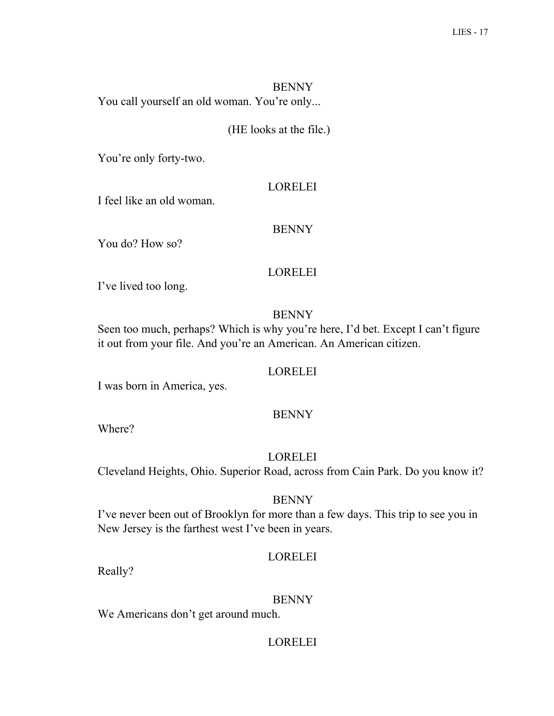**BENNY** You call yourself an old woman. You're only...

# (HE looks at the file.)

You're only forty-two.

#### LORELEI

I feel like an old woman.

#### BENNY

You do? How so?

## LORELEI

I've lived too long.

## **BENNY**

Seen too much, perhaps? Which is why you're here, I'd bet. Except I can't figure it out from your file. And you're an American. An American citizen.

## LORELEI

I was born in America, yes.

## BENNY

Where?

LORELEI

Cleveland Heights, Ohio. Superior Road, across from Cain Park. Do you know it?

## BENNY

I've never been out of Brooklyn for more than a few days. This trip to see you in New Jersey is the farthest west I've been in years.

## LORELEI

Really?

## BENNY

We Americans don't get around much.

## LORELEI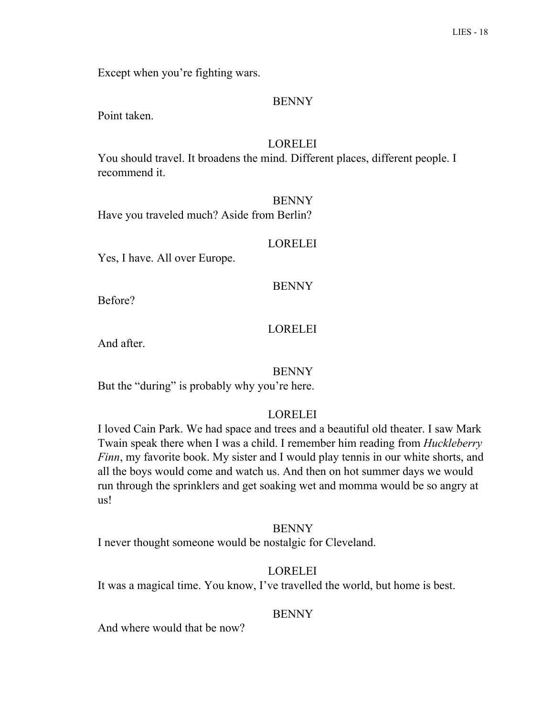Except when you're fighting wars.

#### BENNY

Point taken.

## LORELEI

You should travel. It broadens the mind. Different places, different people. I recommend it.

**BENNY** Have you traveled much? Aside from Berlin?

#### LORELEI

Yes, I have. All over Europe.

#### **BENNY**

Before?

## LORELEI

And after.

#### BENNY

But the "during" is probably why you're here.

## **LORELEI**

I loved Cain Park. We had space and trees and a beautiful old theater. I saw Mark Twain speak there when I was a child. I remember him reading from *Huckleberry Finn*, my favorite book. My sister and I would play tennis in our white shorts, and all the boys would come and watch us. And then on hot summer days we would run through the sprinklers and get soaking wet and momma would be so angry at us!

#### **BENNY**

I never thought someone would be nostalgic for Cleveland.

#### LORELEI

It was a magical time. You know, I've travelled the world, but home is best.

## **BENNY**

And where would that be now?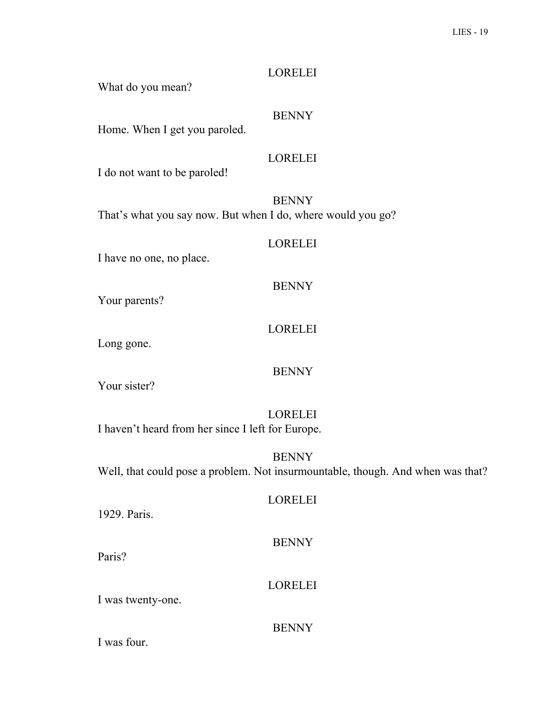#### LORELEI

What do you mean?

# **BENNY**

Home. When I get you paroled.

## LORELEI

I do not want to be paroled!

**BENNY** That's what you say now. But when I do, where would you go?

#### LORELEI

I have no one, no place.

## **BENNY**

Your parents?

# LORELEI

Long gone.

#### BENNY

Your sister?

LORELEI I haven't heard from her since I left for Europe.

BENNY Well, that could pose a problem. Not insurmountable, though. And when was that?

#### LORELEI

1929. Paris.

Paris?

BENNY

I was twenty-one.

## **BENNY**

LORELEI

I was four.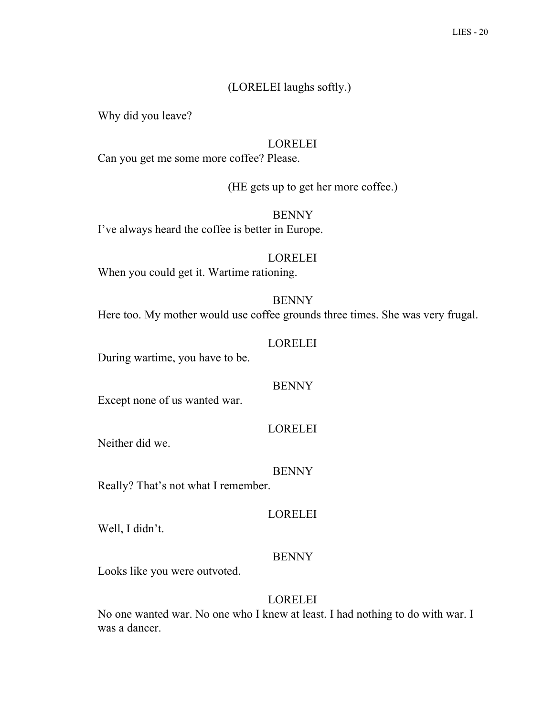# (LORELEI laughs softly.)

Why did you leave?

## LORELEI

Can you get me some more coffee? Please.

(HE gets up to get her more coffee.)

**BENNY** I've always heard the coffee is better in Europe.

LORELEI

When you could get it. Wartime rationing.

**BENNY** 

Here too. My mother would use coffee grounds three times. She was very frugal.

LORELEI

During wartime, you have to be.

BENNY

Except none of us wanted war.

LORELEI

Neither did we.

BENNY

Really? That's not what I remember.

LORELEI

Well, I didn't.

## BENNY

Looks like you were outvoted.

## LORELEI

No one wanted war. No one who I knew at least. I had nothing to do with war. I was a dancer.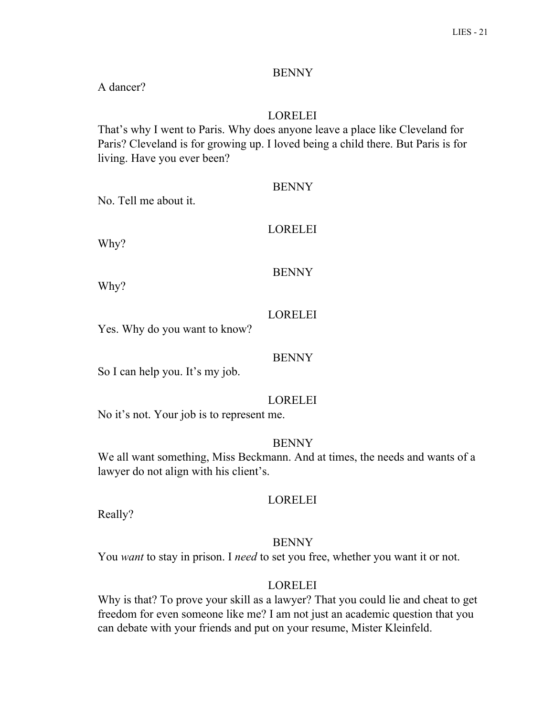## **BENNY**

A dancer?

# LORELEI

That's why I went to Paris. Why does anyone leave a place like Cleveland for Paris? Cleveland is for growing up. I loved being a child there. But Paris is for living. Have you ever been?

No. Tell me about it.

#### LORELEI

Why?

#### BENNY

Why?

#### LORELEI

Yes. Why do you want to know?

#### BENNY

So I can help you. It's my job.

## LORELEI

No it's not. Your job is to represent me.

#### BENNY

We all want something, Miss Beckmann. And at times, the needs and wants of a lawyer do not align with his client's.

#### LORELEI

Really?

#### BENNY

You *want* to stay in prison. I *need* to set you free, whether you want it or not.

#### LORELEI

Why is that? To prove your skill as a lawyer? That you could lie and cheat to get freedom for even someone like me? I am not just an academic question that you can debate with your friends and put on your resume, Mister Kleinfeld.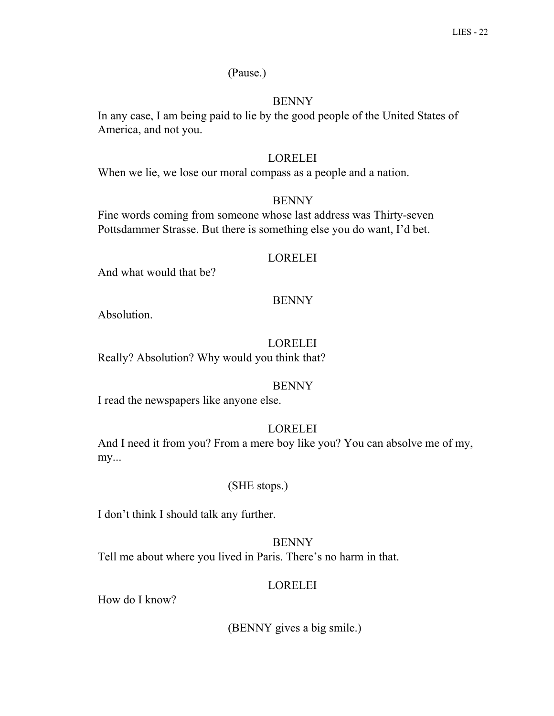## (Pause.)

## **BENNY**

In any case, I am being paid to lie by the good people of the United States of America, and not you.

#### LORELEI

When we lie, we lose our moral compass as a people and a nation.

#### BENNY

Fine words coming from someone whose last address was Thirty-seven Pottsdammer Strasse. But there is something else you do want, I'd bet.

#### LORELEI

And what would that be?

#### **BENNY**

Absolution.

## LORELEI

Really? Absolution? Why would you think that?

#### BENNY

I read the newspapers like anyone else.

## LORELEI

And I need it from you? From a mere boy like you? You can absolve me of my, my...

#### (SHE stops.)

I don't think I should talk any further.

BENNY Tell me about where you lived in Paris. There's no harm in that.

#### LORELEI

How do I know?

(BENNY gives a big smile.)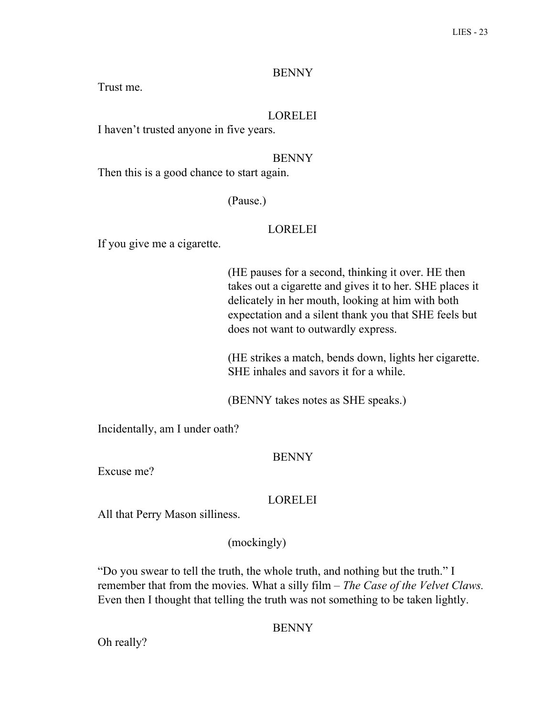## **BENNY**

Trust me.

# LORELEI

I haven't trusted anyone in five years.

## BENNY

Then this is a good chance to start again.

#### (Pause.)

## LORELEI

If you give me a cigarette.

(HE pauses for a second, thinking it over. HE then takes out a cigarette and gives it to her. SHE places it delicately in her mouth, looking at him with both expectation and a silent thank you that SHE feels but does not want to outwardly express.

(HE strikes a match, bends down, lights her cigarette. SHE inhales and savors it for a while.

(BENNY takes notes as SHE speaks.)

Incidentally, am I under oath?

#### BENNY

Excuse me?

## LORELEI

All that Perry Mason silliness.

## (mockingly)

"Do you swear to tell the truth, the whole truth, and nothing but the truth." I remember that from the movies. What a silly film – *The Case of the Velvet Claws.* Even then I thought that telling the truth was not something to be taken lightly.

## **BENNY**

Oh really?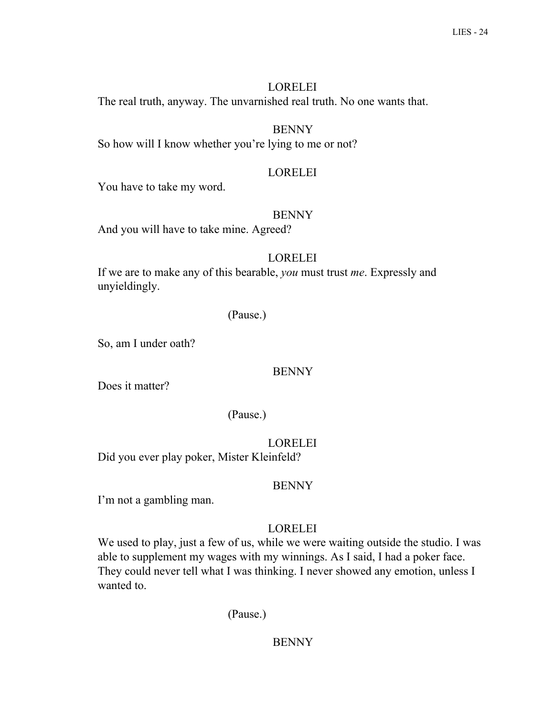# LORELEI

The real truth, anyway. The unvarnished real truth. No one wants that.

# BENNY

So how will I know whether you're lying to me or not?

# LORELEI

You have to take my word.

# **BENNY**

And you will have to take mine. Agreed?

# LORELEI

If we are to make any of this bearable, *you* must trust *me*. Expressly and unyieldingly.

# (Pause.)

So, am I under oath?

# BENNY

Does it matter?

# (Pause.)

LORELEI Did you ever play poker, Mister Kleinfeld?

# BENNY

I'm not a gambling man.

# LORELEI

We used to play, just a few of us, while we were waiting outside the studio. I was able to supplement my wages with my winnings. As I said, I had a poker face. They could never tell what I was thinking. I never showed any emotion, unless I wanted to.

# (Pause.)

# **BENNY**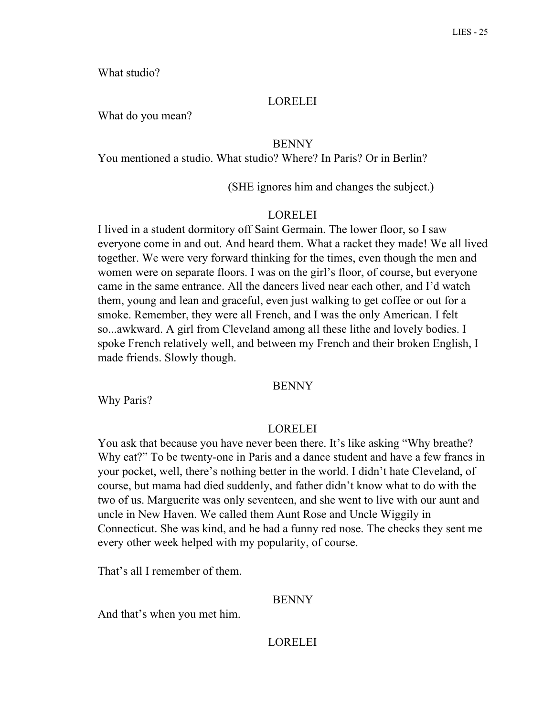What studio?

#### LORELEI

What do you mean?

## **BENNY**

You mentioned a studio. What studio? Where? In Paris? Or in Berlin?

(SHE ignores him and changes the subject.)

#### LORELEI

I lived in a student dormitory off Saint Germain. The lower floor, so I saw everyone come in and out. And heard them. What a racket they made! We all lived together. We were very forward thinking for the times, even though the men and women were on separate floors. I was on the girl's floor, of course, but everyone came in the same entrance. All the dancers lived near each other, and I'd watch them, young and lean and graceful, even just walking to get coffee or out for a smoke. Remember, they were all French, and I was the only American. I felt so...awkward. A girl from Cleveland among all these lithe and lovely bodies. I spoke French relatively well, and between my French and their broken English, I made friends. Slowly though.

#### BENNY

Why Paris?

#### LORELEI

You ask that because you have never been there. It's like asking "Why breathe? Why eat?" To be twenty-one in Paris and a dance student and have a few francs in your pocket, well, there's nothing better in the world. I didn't hate Cleveland, of course, but mama had died suddenly, and father didn't know what to do with the two of us. Marguerite was only seventeen, and she went to live with our aunt and uncle in New Haven. We called them Aunt Rose and Uncle Wiggily in Connecticut. She was kind, and he had a funny red nose. The checks they sent me every other week helped with my popularity, of course.

That's all I remember of them.

#### BENNY

And that's when you met him.

#### **LORELEI**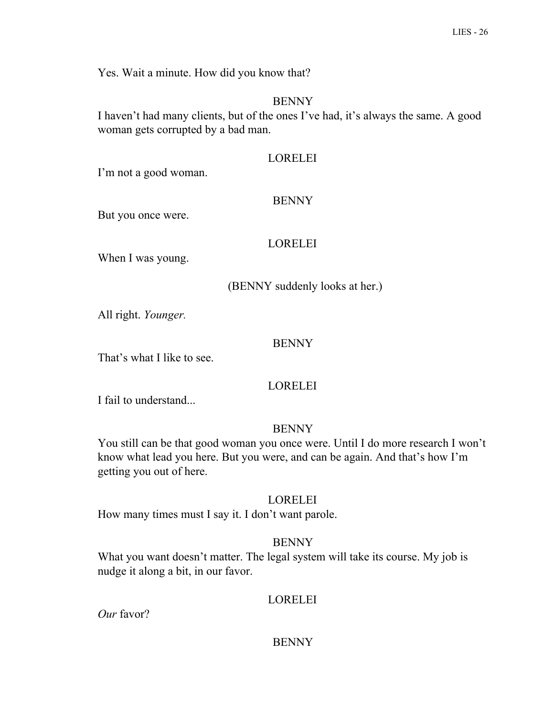Yes. Wait a minute. How did you know that?

#### **BENNY**

I haven't had many clients, but of the ones I've had, it's always the same. A good woman gets corrupted by a bad man.

#### LORELEI

I'm not a good woman.

#### BENNY

But you once were.

#### LORELEI

When I was young.

(BENNY suddenly looks at her.)

All right. *Younger.*

#### BENNY

That's what I like to see.

#### LORELEI

I fail to understand...

#### BENNY

You still can be that good woman you once were. Until I do more research I won't know what lead you here. But you were, and can be again. And that's how I'm getting you out of here.

#### LORELEI

How many times must I say it. I don't want parole.

#### BENNY

What you want doesn't matter. The legal system will take its course. My job is nudge it along a bit, in our favor.

#### LORELEI

*Our* favor?

#### **BENNY**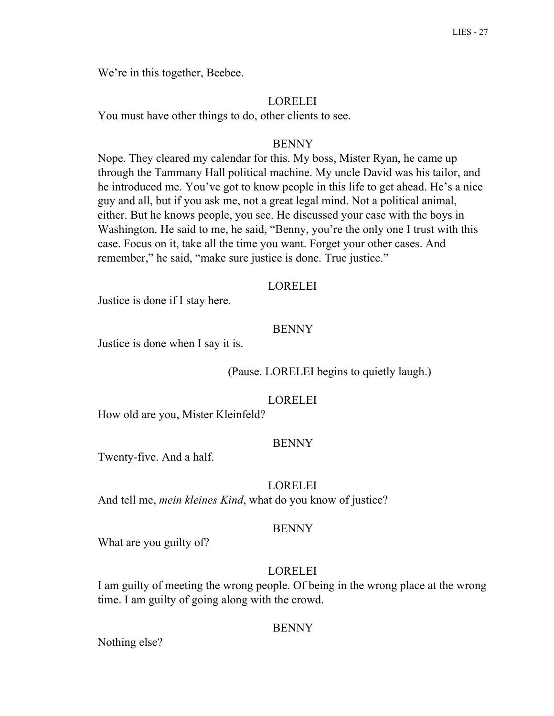We're in this together, Beebee.

#### LORELEI

You must have other things to do, other clients to see.

#### BENNY

Nope. They cleared my calendar for this. My boss, Mister Ryan, he came up through the Tammany Hall political machine. My uncle David was his tailor, and he introduced me. You've got to know people in this life to get ahead. He's a nice guy and all, but if you ask me, not a great legal mind. Not a political animal, either. But he knows people, you see. He discussed your case with the boys in Washington. He said to me, he said, "Benny, you're the only one I trust with this case. Focus on it, take all the time you want. Forget your other cases. And remember," he said, "make sure justice is done. True justice."

#### LORELEI

Justice is done if I stay here.

#### BENNY

Justice is done when I say it is.

(Pause. LORELEI begins to quietly laugh.)

#### LORELEI

How old are you, Mister Kleinfeld?

#### BENNY

Twenty-five. And a half.

#### LORELEI

And tell me, *mein kleines Kind*, what do you know of justice?

#### **BENNY**

What are you guilty of?

#### LORELEI

I am guilty of meeting the wrong people. Of being in the wrong place at the wrong time. I am guilty of going along with the crowd.

#### BENNY

Nothing else?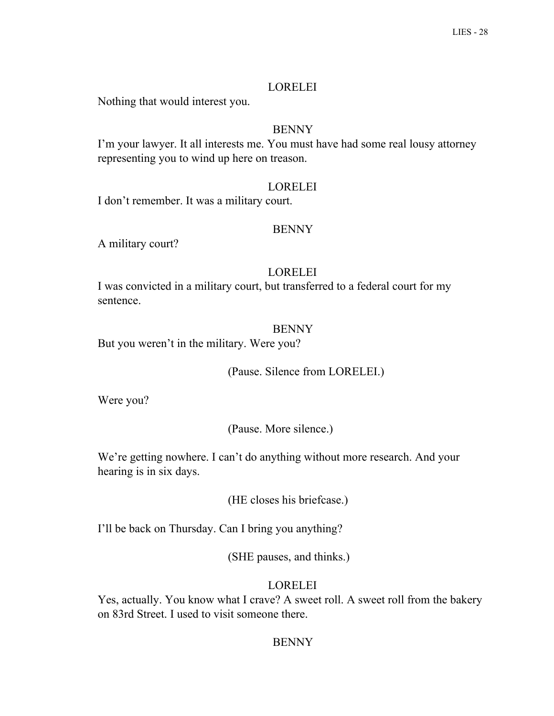## LORELEI

Nothing that would interest you.

# BENNY

I'm your lawyer. It all interests me. You must have had some real lousy attorney representing you to wind up here on treason.

# LORELEI

I don't remember. It was a military court.

# BENNY

A military court?

# LORELEI

I was convicted in a military court, but transferred to a federal court for my sentence.

# BENNY

But you weren't in the military. Were you?

(Pause. Silence from LORELEI.)

Were you?

(Pause. More silence.)

We're getting nowhere. I can't do anything without more research. And your hearing is in six days.

(HE closes his briefcase.)

I'll be back on Thursday. Can I bring you anything?

(SHE pauses, and thinks.)

# LORELEI

Yes, actually. You know what I crave? A sweet roll. A sweet roll from the bakery on 83rd Street. I used to visit someone there.

# **BENNY**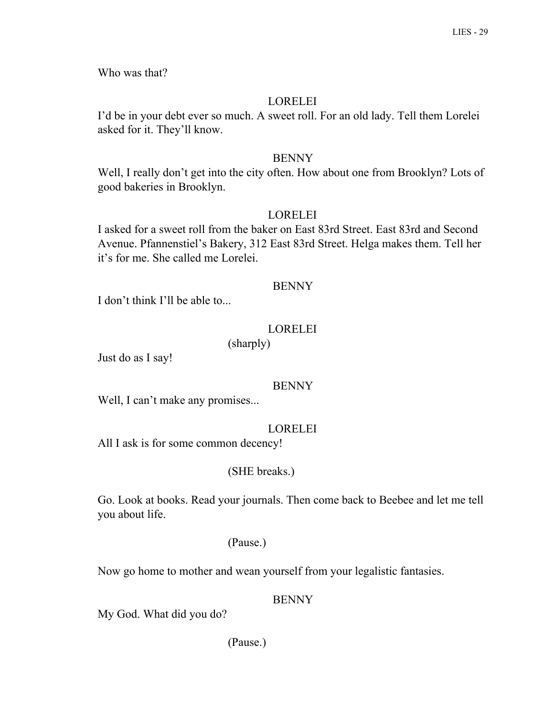Who was that?

# LORELEI

I'd be in your debt ever so much. A sweet roll. For an old lady. Tell them Lorelei asked for it. They'll know.

## BENNY

Well, I really don't get into the city often. How about one from Brooklyn? Lots of good bakeries in Brooklyn.

# LORELEI

I asked for a sweet roll from the baker on East 83rd Street. East 83rd and Second Avenue. Pfannenstiel's Bakery, 312 East 83rd Street. Helga makes them. Tell her it's for me. She called me Lorelei.

## BENNY

I don't think I'll be able to...

# LORELEI

(sharply)

Just do as I say!

## BENNY

Well, I can't make any promises...

# LORELEI

All I ask is for some common decency!

# (SHE breaks.)

Go. Look at books. Read your journals. Then come back to Beebee and let me tell you about life.

## (Pause.)

Now go home to mother and wean yourself from your legalistic fantasies.

## BENNY

My God. What did you do?

(Pause.)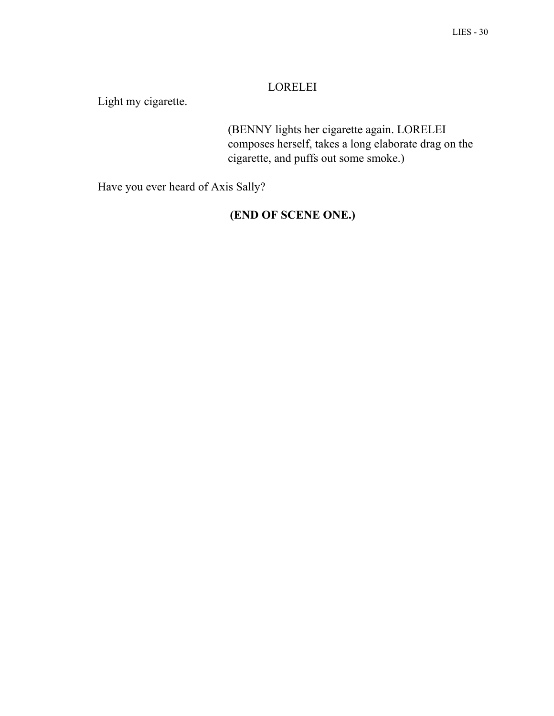# LORELEI

Light my cigarette.

(BENNY lights her cigarette again. LORELEI composes herself, takes a long elaborate drag on the cigarette, and puffs out some smoke.)

Have you ever heard of Axis Sally?

# **(END OF SCENE ONE.)**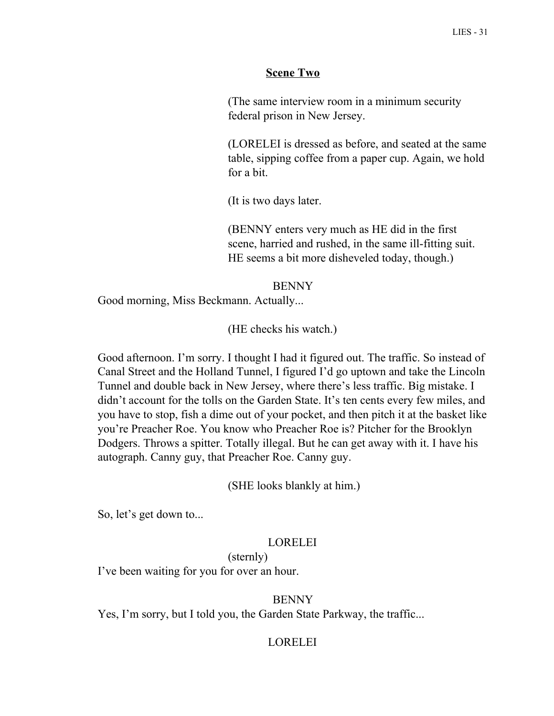## **Scene Two**

(The same interview room in a minimum security federal prison in New Jersey.

(LORELEI is dressed as before, and seated at the same table, sipping coffee from a paper cup. Again, we hold for a bit.

(It is two days later.

(BENNY enters very much as HE did in the first scene, harried and rushed, in the same ill-fitting suit. HE seems a bit more disheveled today, though.)

#### BENNY

Good morning, Miss Beckmann. Actually...

(HE checks his watch.)

Good afternoon. I'm sorry. I thought I had it figured out. The traffic. So instead of Canal Street and the Holland Tunnel, I figured I'd go uptown and take the Lincoln Tunnel and double back in New Jersey, where there's less traffic. Big mistake. I didn't account for the tolls on the Garden State. It's ten cents every few miles, and you have to stop, fish a dime out of your pocket, and then pitch it at the basket like you're Preacher Roe. You know who Preacher Roe is? Pitcher for the Brooklyn Dodgers. Throws a spitter. Totally illegal. But he can get away with it. I have his autograph. Canny guy, that Preacher Roe. Canny guy.

(SHE looks blankly at him.)

So, let's get down to...

#### LORELEI

#### (sternly)

I've been waiting for you for over an hour.

#### BENNY

Yes, I'm sorry, but I told you, the Garden State Parkway, the traffic...

#### LORELEI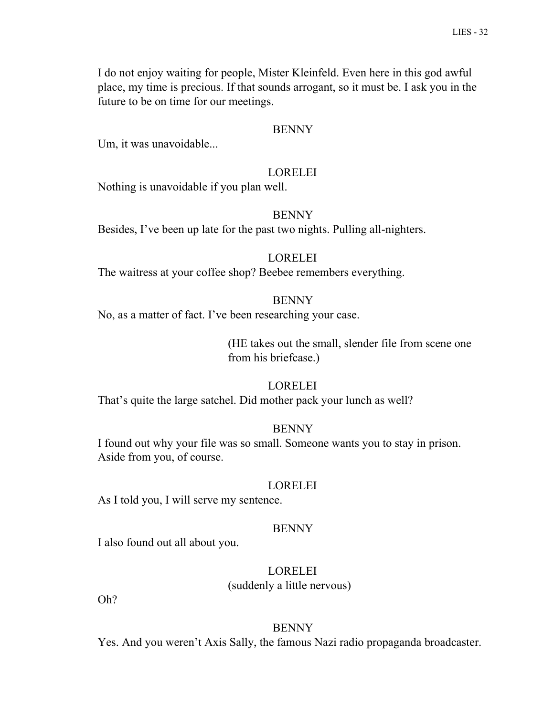I do not enjoy waiting for people, Mister Kleinfeld. Even here in this god awful place, my time is precious. If that sounds arrogant, so it must be. I ask you in the future to be on time for our meetings.

#### BENNY

Um, it was unavoidable...

#### LORELEI

Nothing is unavoidable if you plan well.

#### **BENNY**

Besides, I've been up late for the past two nights. Pulling all-nighters.

#### LORELEI

The waitress at your coffee shop? Beebee remembers everything.

#### **BENNY**

No, as a matter of fact. I've been researching your case.

(HE takes out the small, slender file from scene one from his briefcase.)

#### LORELEI

That's quite the large satchel. Did mother pack your lunch as well?

#### BENNY

I found out why your file was so small. Someone wants you to stay in prison. Aside from you, of course.

#### LORELEI

As I told you, I will serve my sentence.

#### BENNY

I also found out all about you.

#### LORELEI

(suddenly a little nervous)

Oh?

#### **BENNY**

Yes. And you weren't Axis Sally, the famous Nazi radio propaganda broadcaster.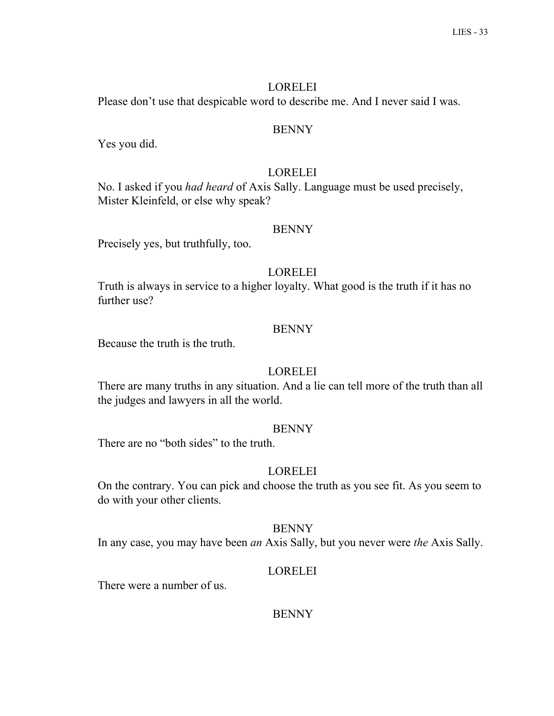## LORELEI

Please don't use that despicable word to describe me. And I never said I was.

#### **BENNY**

Yes you did.

## LORELEI

No. I asked if you *had heard* of Axis Sally. Language must be used precisely, Mister Kleinfeld, or else why speak?

#### BENNY

Precisely yes, but truthfully, too.

## LORELEI

Truth is always in service to a higher loyalty. What good is the truth if it has no further use?

#### BENNY

Because the truth is the truth.

## LORELEI

There are many truths in any situation. And a lie can tell more of the truth than all the judges and lawyers in all the world.

#### BENNY

There are no "both sides" to the truth.

## LORELEI

On the contrary. You can pick and choose the truth as you see fit. As you seem to do with your other clients.

#### **BENNY**

In any case, you may have been *an* Axis Sally, but you never were *the* Axis Sally.

## LORELEI

There were a number of us.

## **BENNY**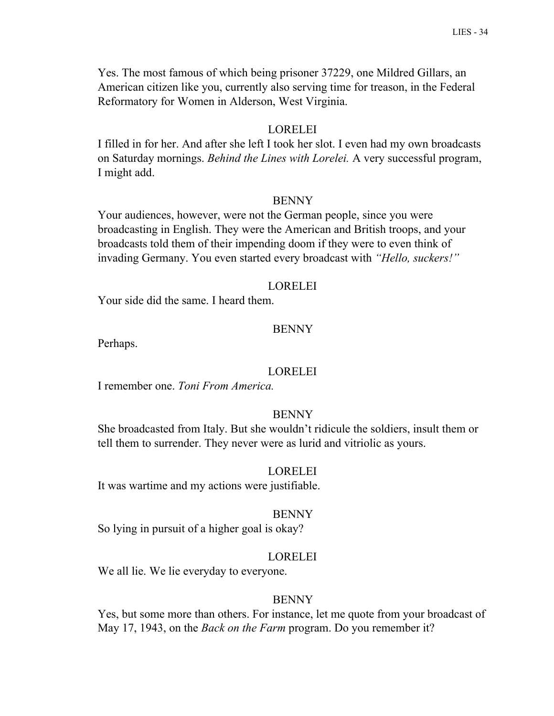Yes. The most famous of which being prisoner 37229, one Mildred Gillars, an American citizen like you, currently also serving time for treason, in the Federal Reformatory for Women in Alderson, West Virginia.

## LORELEI

I filled in for her. And after she left I took her slot. I even had my own broadcasts on Saturday mornings. *Behind the Lines with Lorelei.* A very successful program, I might add.

#### BENNY

Your audiences, however, were not the German people, since you were broadcasting in English. They were the American and British troops, and your broadcasts told them of their impending doom if they were to even think of invading Germany. You even started every broadcast with *"Hello, suckers!"*

#### LORELEI

Your side did the same. I heard them.

#### BENNY

Perhaps.

#### LORELEI

I remember one. *Toni From America.*

#### **BENNY**

She broadcasted from Italy. But she wouldn't ridicule the soldiers, insult them or tell them to surrender. They never were as lurid and vitriolic as yours.

#### LORELEI

It was wartime and my actions were justifiable.

#### BENNY

So lying in pursuit of a higher goal is okay?

#### LORELEI

We all lie. We lie everyday to everyone.

#### BENNY

Yes, but some more than others. For instance, let me quote from your broadcast of May 17, 1943, on the *Back on the Farm* program. Do you remember it?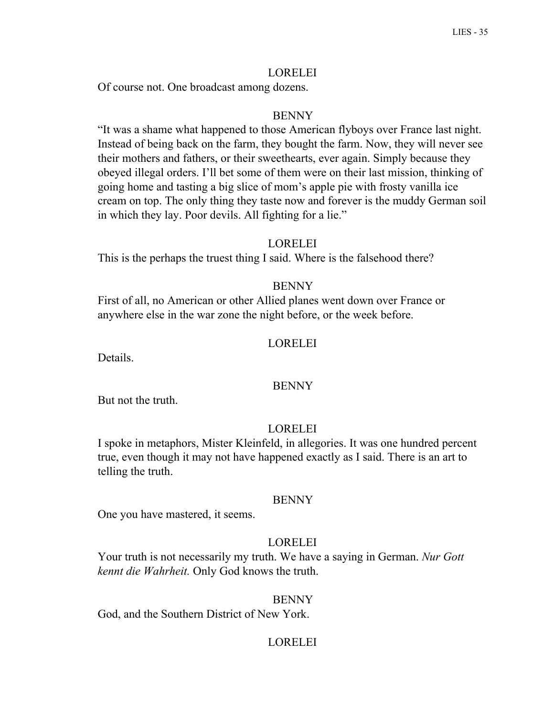## LORELEI

Of course not. One broadcast among dozens.

### BENNY

"It was a shame what happened to those American flyboys over France last night. Instead of being back on the farm, they bought the farm. Now, they will never see their mothers and fathers, or their sweethearts, ever again. Simply because they obeyed illegal orders. I'll bet some of them were on their last mission, thinking of going home and tasting a big slice of mom's apple pie with frosty vanilla ice cream on top. The only thing they taste now and forever is the muddy German soil in which they lay. Poor devils. All fighting for a lie."

#### LORELEI

This is the perhaps the truest thing I said. Where is the falsehood there?

### **BENNY**

First of all, no American or other Allied planes went down over France or anywhere else in the war zone the night before, or the week before.

#### LORELEI

Details.

#### BENNY

But not the truth.

#### LORELEI

I spoke in metaphors, Mister Kleinfeld, in allegories. It was one hundred percent true, even though it may not have happened exactly as I said. There is an art to telling the truth.

#### **BENNY**

One you have mastered, it seems.

### LORELEI

Your truth is not necessarily my truth. We have a saying in German. *Nur Gott kennt die Wahrheit.* Only God knows the truth.

#### BENNY

God, and the Southern District of New York.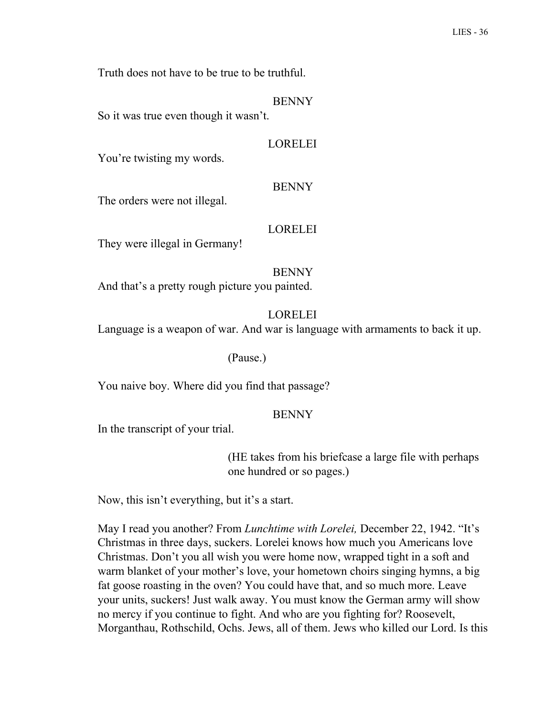Truth does not have to be true to be truthful.

BENNY

So it was true even though it wasn't.

#### LORELEI

You're twisting my words.

#### BENNY

The orders were not illegal.

#### LORELEI

They were illegal in Germany!

#### BENNY

And that's a pretty rough picture you painted.

### **LORELEI**

Language is a weapon of war. And war is language with armaments to back it up.

#### (Pause.)

You naive boy. Where did you find that passage?

#### **BENNY**

In the transcript of your trial.

(HE takes from his briefcase a large file with perhaps one hundred or so pages.)

Now, this isn't everything, but it's a start.

May I read you another? From *Lunchtime with Lorelei,* December 22, 1942. "It's Christmas in three days, suckers. Lorelei knows how much you Americans love Christmas. Don't you all wish you were home now, wrapped tight in a soft and warm blanket of your mother's love, your hometown choirs singing hymns, a big fat goose roasting in the oven? You could have that, and so much more. Leave your units, suckers! Just walk away. You must know the German army will show no mercy if you continue to fight. And who are you fighting for? Roosevelt, Morganthau, Rothschild, Ochs. Jews, all of them. Jews who killed our Lord. Is this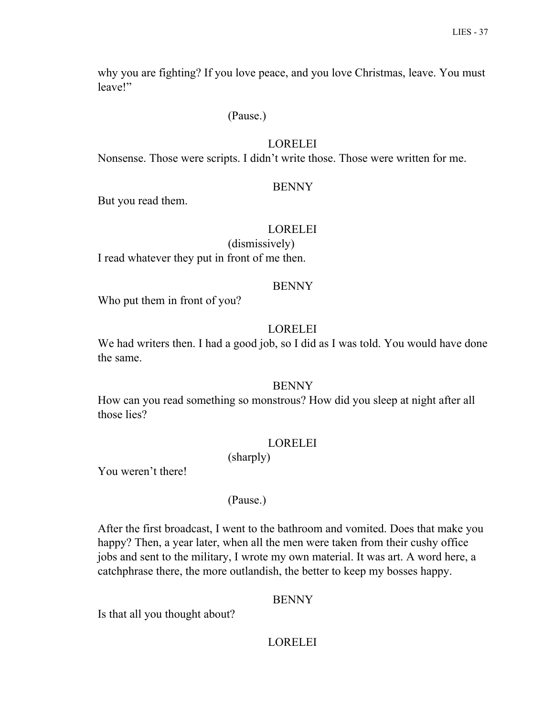why you are fighting? If you love peace, and you love Christmas, leave. You must leave!"

## (Pause.)

# LORELEI

Nonsense. Those were scripts. I didn't write those. Those were written for me.

## BENNY

But you read them.

## LORELEI

(dismissively) I read whatever they put in front of me then.

## BENNY

Who put them in front of you?

# LORELEI

We had writers then. I had a good job, so I did as I was told. You would have done the same.

### BENNY

How can you read something so monstrous? How did you sleep at night after all those lies?

# LORELEI

(sharply)

You weren't there!

# (Pause.)

After the first broadcast, I went to the bathroom and vomited. Does that make you happy? Then, a year later, when all the men were taken from their cushy office jobs and sent to the military, I wrote my own material. It was art. A word here, a catchphrase there, the more outlandish, the better to keep my bosses happy.

# BENNY

Is that all you thought about?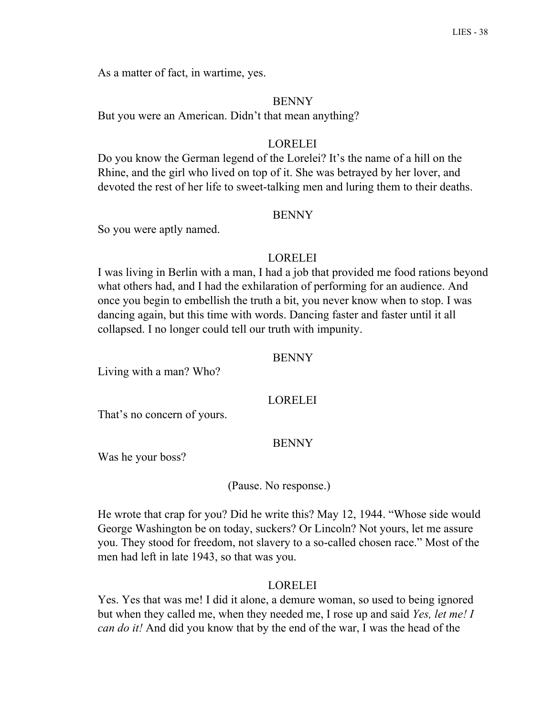As a matter of fact, in wartime, yes.

#### **BENNY**

But you were an American. Didn't that mean anything?

## LORELEI

Do you know the German legend of the Lorelei? It's the name of a hill on the Rhine, and the girl who lived on top of it. She was betrayed by her lover, and devoted the rest of her life to sweet-talking men and luring them to their deaths.

#### **BENNY**

So you were aptly named.

#### LORELEI

I was living in Berlin with a man, I had a job that provided me food rations beyond what others had, and I had the exhilaration of performing for an audience. And once you begin to embellish the truth a bit, you never know when to stop. I was dancing again, but this time with words. Dancing faster and faster until it all collapsed. I no longer could tell our truth with impunity.

#### BENNY

Living with a man? Who?

## LORELEI

That's no concern of yours.

### BENNY

Was he your boss?

#### (Pause. No response.)

He wrote that crap for you? Did he write this? May 12, 1944. "Whose side would George Washington be on today, suckers? Or Lincoln? Not yours, let me assure you. They stood for freedom, not slavery to a so-called chosen race." Most of the men had left in late 1943, so that was you.

#### LORELEI

Yes. Yes that was me! I did it alone, a demure woman, so used to being ignored but when they called me, when they needed me, I rose up and said *Yes, let me! I can do it!* And did you know that by the end of the war, I was the head of the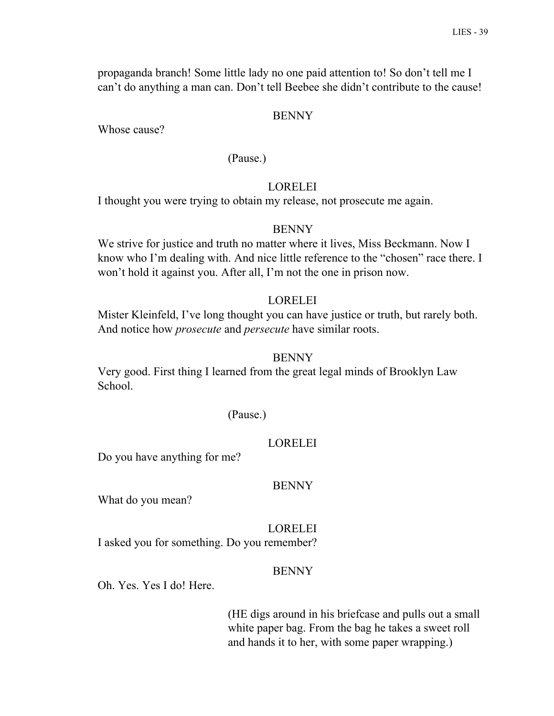propaganda branch! Some little lady no one paid attention to! So don't tell me I can't do anything a man can. Don't tell Beebee she didn't contribute to the cause!

### BENNY

Whose cause?

## (Pause.)

## LORELEI

I thought you were trying to obtain my release, not prosecute me again.

### BENNY

We strive for justice and truth no matter where it lives, Miss Beckmann. Now I know who I'm dealing with. And nice little reference to the "chosen" race there. I won't hold it against you. After all, I'm not the one in prison now.

## LORELEI

Mister Kleinfeld, I've long thought you can have justice or truth, but rarely both. And notice how *prosecute* and *persecute* have similar roots.

#### BENNY

Very good. First thing I learned from the great legal minds of Brooklyn Law School.

#### (Pause.)

### LORELEI

Do you have anything for me?

#### BENNY

What do you mean?

### LORELEI

I asked you for something. Do you remember?

### BENNY

Oh. Yes. Yes I do! Here.

(HE digs around in his briefcase and pulls out a small white paper bag. From the bag he takes a sweet roll and hands it to her, with some paper wrapping.)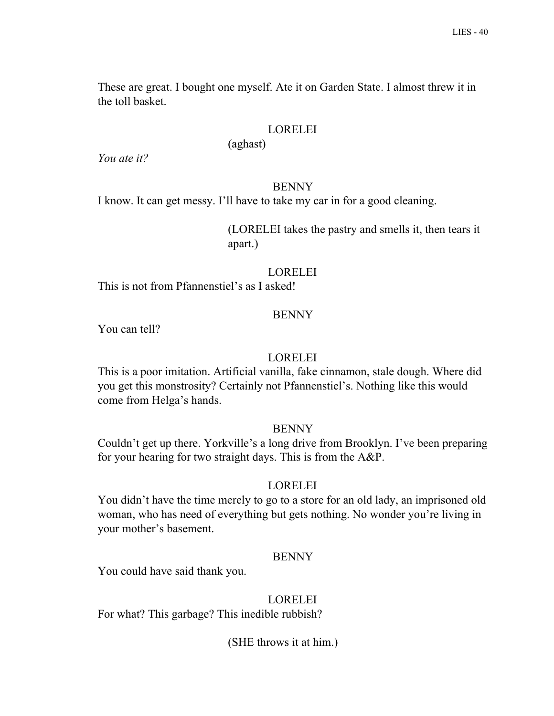These are great. I bought one myself. Ate it on Garden State. I almost threw it in the toll basket.

## LORELEI

(aghast)

*You ate it?*

### BENNY

I know. It can get messy. I'll have to take my car in for a good cleaning.

(LORELEI takes the pastry and smells it, then tears it apart.)

## LORELEI

This is not from Pfannenstiel's as I asked!

# **BENNY**

You can tell?

## LORELEI

This is a poor imitation. Artificial vanilla, fake cinnamon, stale dough. Where did you get this monstrosity? Certainly not Pfannenstiel's. Nothing like this would come from Helga's hands.

# BENNY

Couldn't get up there. Yorkville's a long drive from Brooklyn. I've been preparing for your hearing for two straight days. This is from the A&P.

# LORELEI

You didn't have the time merely to go to a store for an old lady, an imprisoned old woman, who has need of everything but gets nothing. No wonder you're living in your mother's basement.

### BENNY

You could have said thank you.

### LORELEI

For what? This garbage? This inedible rubbish?

(SHE throws it at him.)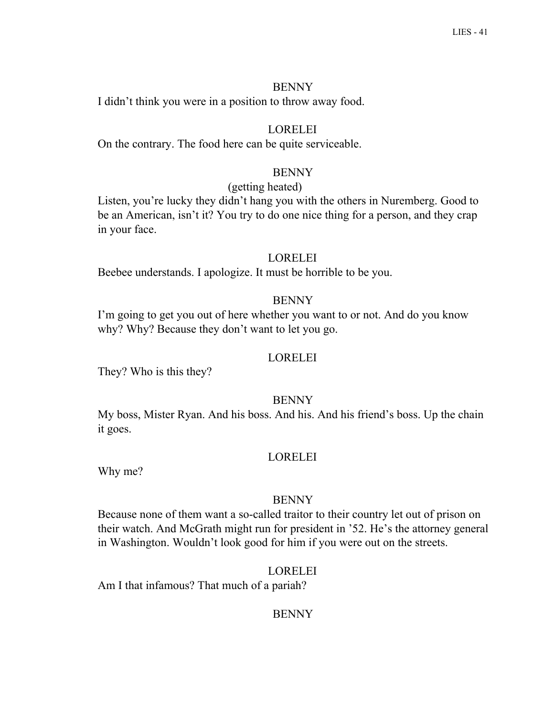I didn't think you were in a position to throw away food.

## LORELEI

On the contrary. The food here can be quite serviceable.

# **BENNY**

#### (getting heated)

Listen, you're lucky they didn't hang you with the others in Nuremberg. Good to be an American, isn't it? You try to do one nice thing for a person, and they crap in your face.

#### LORELEI

Beebee understands. I apologize. It must be horrible to be you.

## **BENNY**

I'm going to get you out of here whether you want to or not. And do you know why? Why? Because they don't want to let you go.

### LORELEI

They? Who is this they?

## **BENNY**

My boss, Mister Ryan. And his boss. And his. And his friend's boss. Up the chain it goes.

### LORELEI

Why me?

#### BENNY

Because none of them want a so-called traitor to their country let out of prison on their watch. And McGrath might run for president in '52. He's the attorney general in Washington. Wouldn't look good for him if you were out on the streets.

#### LORELEI

Am I that infamous? That much of a pariah?

## **BENNY**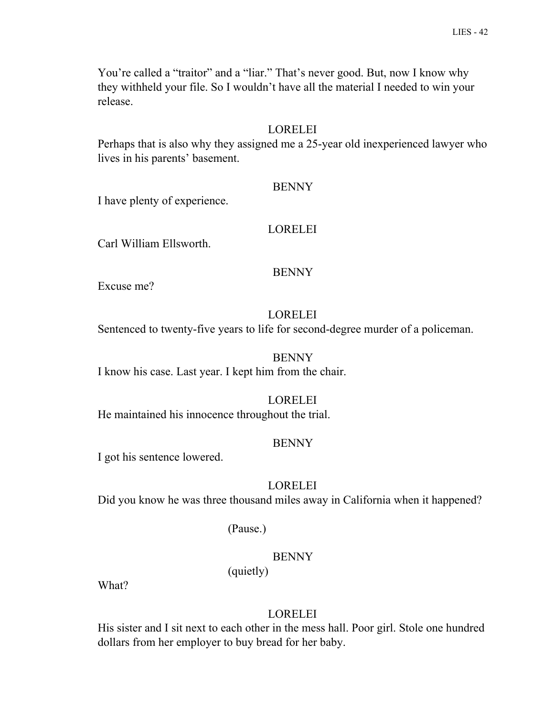You're called a "traitor" and a "liar." That's never good. But, now I know why they withheld your file. So I wouldn't have all the material I needed to win your release.

# LORELEI

Perhaps that is also why they assigned me a 25-year old inexperienced lawyer who lives in his parents' basement.

# **BENNY**

I have plenty of experience.

# LORELEI

Carl William Ellsworth.

# BENNY

Excuse me?

# LORELEI

Sentenced to twenty-five years to life for second-degree murder of a policeman.

# BENNY

I know his case. Last year. I kept him from the chair.

# LORELEI

He maintained his innocence throughout the trial.

# BENNY

I got his sentence lowered.

# LORELEI

Did you know he was three thousand miles away in California when it happened?

# (Pause.)

# BENNY

(quietly)

What?

# LORELEI

His sister and I sit next to each other in the mess hall. Poor girl. Stole one hundred dollars from her employer to buy bread for her baby.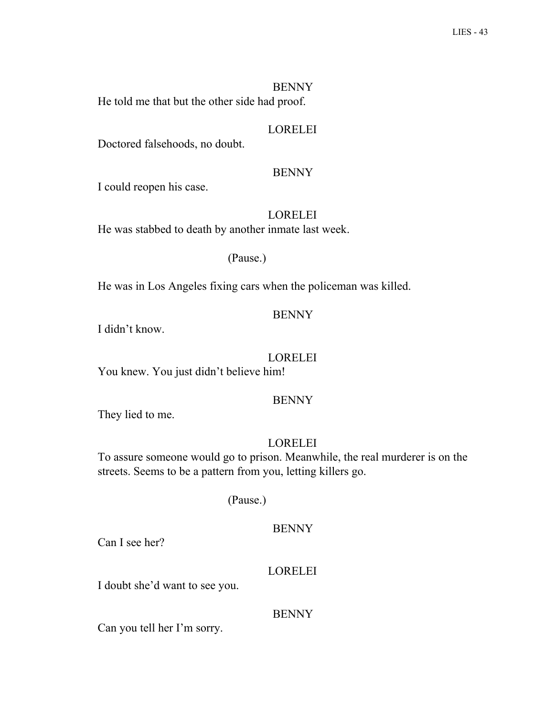**BENNY** He told me that but the other side had proof.

# LORELEI

Doctored falsehoods, no doubt.

#### BENNY

I could reopen his case.

# LORELEI

He was stabbed to death by another inmate last week.

### (Pause.)

He was in Los Angeles fixing cars when the policeman was killed.

# BENNY

I didn't know.

### LORELEI

You knew. You just didn't believe him!

### BENNY

They lied to me.

## LORELEI

To assure someone would go to prison. Meanwhile, the real murderer is on the streets. Seems to be a pattern from you, letting killers go.

### (Pause.)

#### **BENNY**

Can I see her?

## LORELEI

I doubt she'd want to see you.

### BENNY

Can you tell her I'm sorry.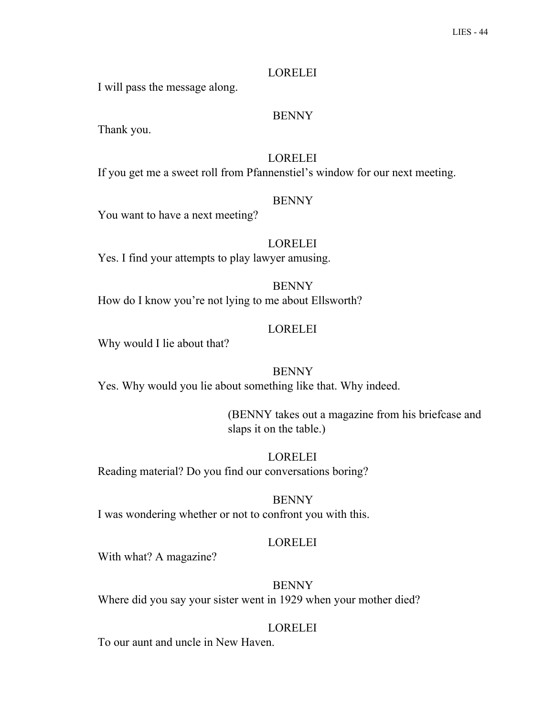## LORELEI

I will pass the message along.

## BENNY

Thank you.

# LORELEI

If you get me a sweet roll from Pfannenstiel's window for our next meeting.

### **BENNY**

You want to have a next meeting?

# LORELEI

Yes. I find your attempts to play lawyer amusing.

BENNY How do I know you're not lying to me about Ellsworth?

# LORELEI

Why would I lie about that?

# BENNY

Yes. Why would you lie about something like that. Why indeed.

(BENNY takes out a magazine from his briefcase and slaps it on the table.)

LORELEI Reading material? Do you find our conversations boring?

### BENNY

I was wondering whether or not to confront you with this.

# LORELEI

With what? A magazine?

# BENNY

Where did you say your sister went in 1929 when your mother died?

# LORELEI

To our aunt and uncle in New Haven.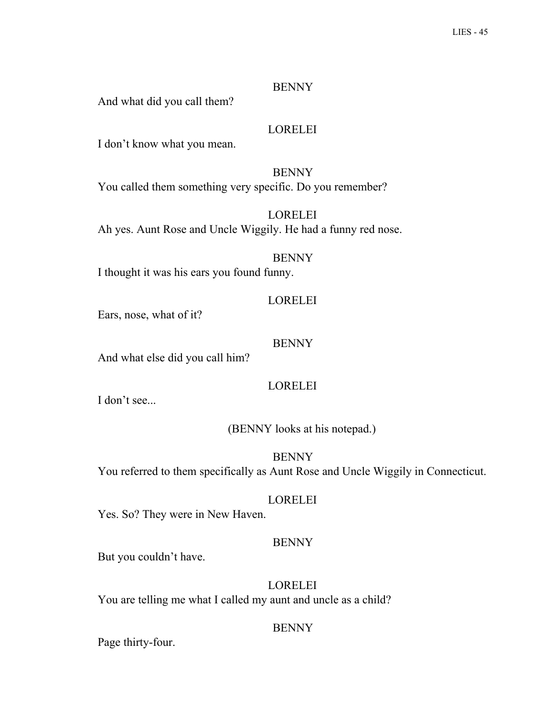And what did you call them?

## LORELEI

I don't know what you mean.

BENNY You called them something very specific. Do you remember?

LORELEI Ah yes. Aunt Rose and Uncle Wiggily. He had a funny red nose.

# BENNY

I thought it was his ears you found funny.

### LORELEI

Ears, nose, what of it?

#### BENNY

And what else did you call him?

# LORELEI

I don't see...

# (BENNY looks at his notepad.)

BENNY You referred to them specifically as Aunt Rose and Uncle Wiggily in Connecticut.

#### LORELEI

Yes. So? They were in New Haven.

#### BENNY

But you couldn't have.

# LORELEI You are telling me what I called my aunt and uncle as a child?

# **BENNY**

Page thirty-four.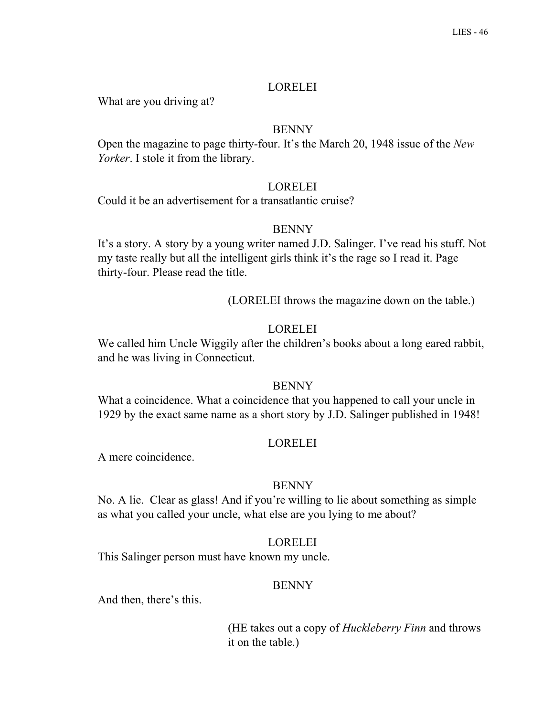## LORELEI

What are you driving at?

# BENNY

Open the magazine to page thirty-four. It's the March 20, 1948 issue of the *New Yorker*. I stole it from the library.

## **LORELEI**

Could it be an advertisement for a transatlantic cruise?

# **BENNY**

It's a story. A story by a young writer named J.D. Salinger. I've read his stuff. Not my taste really but all the intelligent girls think it's the rage so I read it. Page thirty-four. Please read the title.

(LORELEI throws the magazine down on the table.)

# LORELEI

We called him Uncle Wiggily after the children's books about a long eared rabbit, and he was living in Connecticut.

# BENNY

What a coincidence. What a coincidence that you happened to call your uncle in 1929 by the exact same name as a short story by J.D. Salinger published in 1948!

# LORELEI

A mere coincidence.

# BENNY

No. A lie. Clear as glass! And if you're willing to lie about something as simple as what you called your uncle, what else are you lying to me about?

# LORELEI

This Salinger person must have known my uncle.

# **BENNY**

And then, there's this.

(HE takes out a copy of *Huckleberry Finn* and throws it on the table.)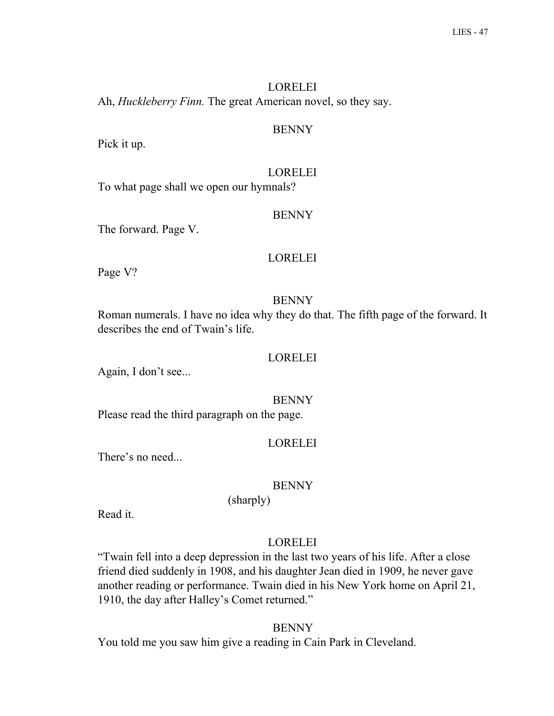# LORELEI Ah, *Huckleberry Finn.* The great American novel, so they say.

## BENNY

Pick it up.

# LORELEI

To what page shall we open our hymnals?

# **BENNY**

The forward. Page V.

# LORELEI

Page V?

# **BENNY**

Roman numerals. I have no idea why they do that. The fifth page of the forward. It describes the end of Twain's life.

# LORELEI

Again, I don't see...

# **BENNY**

Please read the third paragraph on the page.

# LORELEI

There's no need...

# BENNY

Read it.

# LORELEI

"Twain fell into a deep depression in the last two years of his life. After a close friend died suddenly in 1908, and his daughter Jean died in 1909, he never gave another reading or performance. Twain died in his New York home on April 21, 1910, the day after Halley's Comet returned."

# **BENNY**

You told me you saw him give a reading in Cain Park in Cleveland.

(sharply)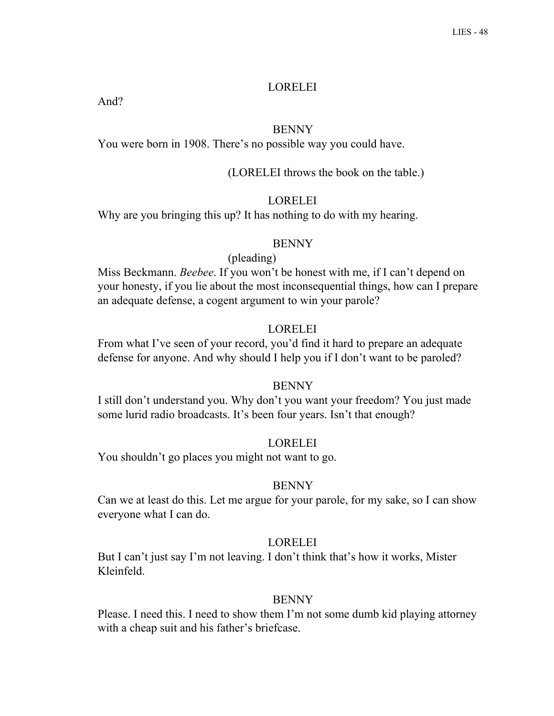### LORELEI

And?

## BENNY

You were born in 1908. There's no possible way you could have.

#### (LORELEI throws the book on the table.)

### **LORELEI**

Why are you bringing this up? It has nothing to do with my hearing.

### **BENNY**

#### (pleading)

Miss Beckmann. *Beebee*. If you won't be honest with me, if I can't depend on your honesty, if you lie about the most inconsequential things, how can I prepare an adequate defense, a cogent argument to win your parole?

#### LORELEI

From what I've seen of your record, you'd find it hard to prepare an adequate defense for anyone. And why should I help you if I don't want to be paroled?

### **BENNY**

I still don't understand you. Why don't you want your freedom? You just made some lurid radio broadcasts. It's been four years. Isn't that enough?

#### LORELEI

You shouldn't go places you might not want to go.

#### **BENNY**

Can we at least do this. Let me argue for your parole, for my sake, so I can show everyone what I can do.

### LORELEI

But I can't just say I'm not leaving. I don't think that's how it works, Mister Kleinfeld.

#### **BENNY**

Please. I need this. I need to show them I'm not some dumb kid playing attorney with a cheap suit and his father's briefcase.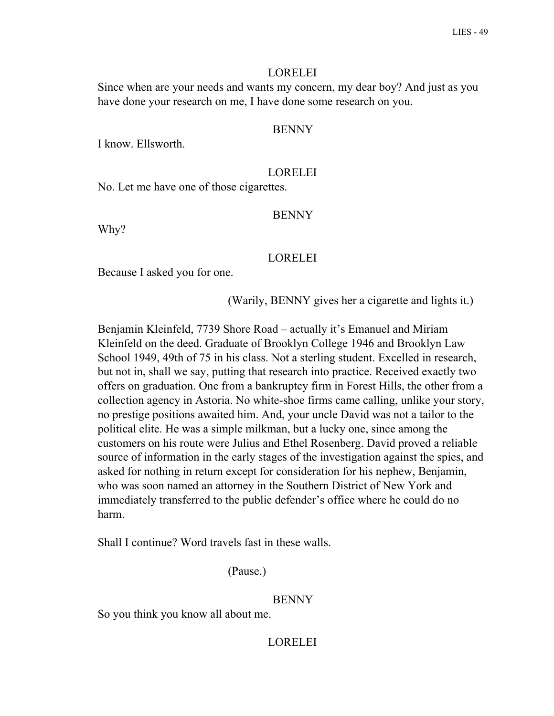### LORELEI

Since when are your needs and wants my concern, my dear boy? And just as you have done your research on me, I have done some research on you.

## BENNY

I know. Ellsworth.

## LORELEI

No. Let me have one of those cigarettes.

### **BENNY**

Why?

## LORELEI

Because I asked you for one.

(Warily, BENNY gives her a cigarette and lights it.)

Benjamin Kleinfeld, 7739 Shore Road – actually it's Emanuel and Miriam Kleinfeld on the deed. Graduate of Brooklyn College 1946 and Brooklyn Law School 1949, 49th of 75 in his class. Not a sterling student. Excelled in research, but not in, shall we say, putting that research into practice. Received exactly two offers on graduation. One from a bankruptcy firm in Forest Hills, the other from a collection agency in Astoria. No white-shoe firms came calling, unlike your story, no prestige positions awaited him. And, your uncle David was not a tailor to the political elite. He was a simple milkman, but a lucky one, since among the customers on his route were Julius and Ethel Rosenberg. David proved a reliable source of information in the early stages of the investigation against the spies, and asked for nothing in return except for consideration for his nephew, Benjamin, who was soon named an attorney in the Southern District of New York and immediately transferred to the public defender's office where he could do no harm.

Shall I continue? Word travels fast in these walls.

(Pause.)

### **BENNY**

So you think you know all about me.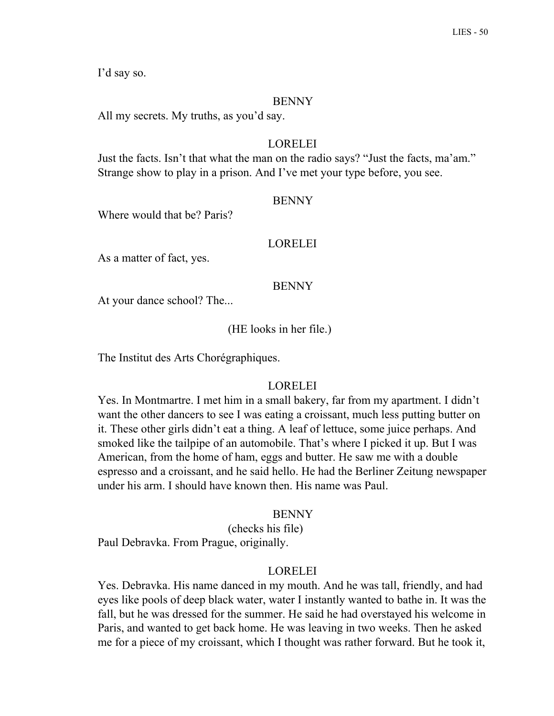I'd say so.

### BENNY

All my secrets. My truths, as you'd say.

# LORELEI

Just the facts. Isn't that what the man on the radio says? "Just the facts, ma'am." Strange show to play in a prison. And I've met your type before, you see.

## **BENNY**

Where would that be? Paris?

## **LORELEI**

As a matter of fact, yes.

## BENNY

At your dance school? The...

# (HE looks in her file.)

The Institut des Arts Chorégraphiques.

# LORELEI

Yes. In Montmartre. I met him in a small bakery, far from my apartment. I didn't want the other dancers to see I was eating a croissant, much less putting butter on it. These other girls didn't eat a thing. A leaf of lettuce, some juice perhaps. And smoked like the tailpipe of an automobile. That's where I picked it up. But I was American, from the home of ham, eggs and butter. He saw me with a double espresso and a croissant, and he said hello. He had the Berliner Zeitung newspaper under his arm. I should have known then. His name was Paul.

### **BENNY**

(checks his file) Paul Debravka. From Prague, originally.

# LORELEI

Yes. Debravka. His name danced in my mouth. And he was tall, friendly, and had eyes like pools of deep black water, water I instantly wanted to bathe in. It was the fall, but he was dressed for the summer. He said he had overstayed his welcome in Paris, and wanted to get back home. He was leaving in two weeks. Then he asked me for a piece of my croissant, which I thought was rather forward. But he took it,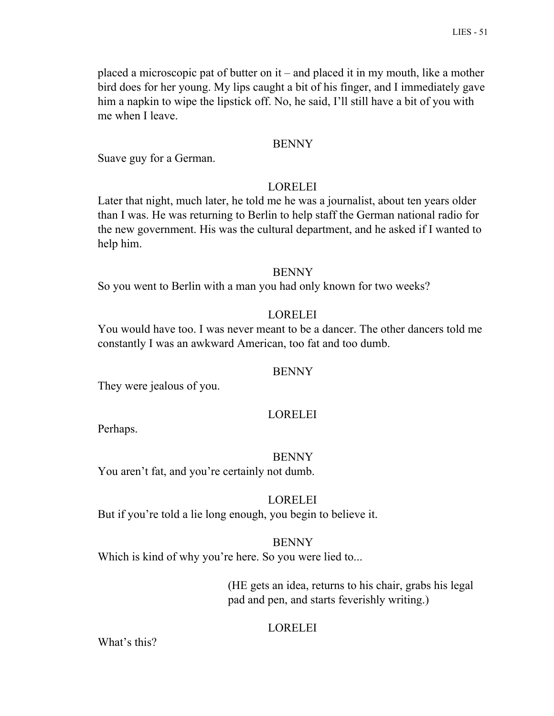placed a microscopic pat of butter on it – and placed it in my mouth, like a mother bird does for her young. My lips caught a bit of his finger, and I immediately gave him a napkin to wipe the lipstick off. No, he said, I'll still have a bit of you with me when I leave.

## BENNY

Suave guy for a German.

# LORELEI

Later that night, much later, he told me he was a journalist, about ten years older than I was. He was returning to Berlin to help staff the German national radio for the new government. His was the cultural department, and he asked if I wanted to help him.

## **BENNY**

So you went to Berlin with a man you had only known for two weeks?

# **LORELEI**

You would have too. I was never meant to be a dancer. The other dancers told me constantly I was an awkward American, too fat and too dumb.

# BENNY

They were jealous of you.

# LORELEI

Perhaps.

### BENNY

You aren't fat, and you're certainly not dumb.

# LORELEI

But if you're told a lie long enough, you begin to believe it.

## BENNY Which is kind of why you're here. So you were lied to...

(HE gets an idea, returns to his chair, grabs his legal pad and pen, and starts feverishly writing.)

# LORELEI

What's this?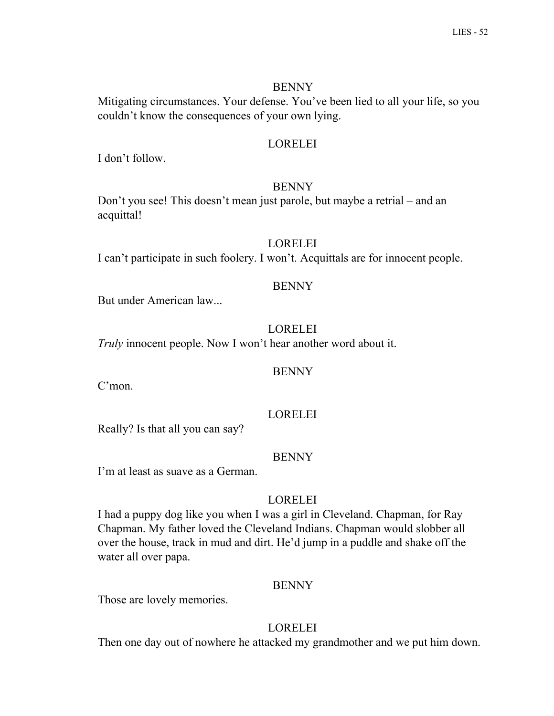Mitigating circumstances. Your defense. You've been lied to all your life, so you couldn't know the consequences of your own lying.

# LORELEI

I don't follow.

# BENNY

Don't you see! This doesn't mean just parole, but maybe a retrial – and an acquittal!

# LORELEI

I can't participate in such foolery. I won't. Acquittals are for innocent people.

# BENNY

But under American law...

# LORELEI

*Truly* innocent people. Now I won't hear another word about it.

# BENNY

C'mon.

# LORELEI

Really? Is that all you can say?

# BENNY

I'm at least as suave as a German.

# **LORELEI**

I had a puppy dog like you when I was a girl in Cleveland. Chapman, for Ray Chapman. My father loved the Cleveland Indians. Chapman would slobber all over the house, track in mud and dirt. He'd jump in a puddle and shake off the water all over papa.

# BENNY

Those are lovely memories.

# LORELEI

Then one day out of nowhere he attacked my grandmother and we put him down.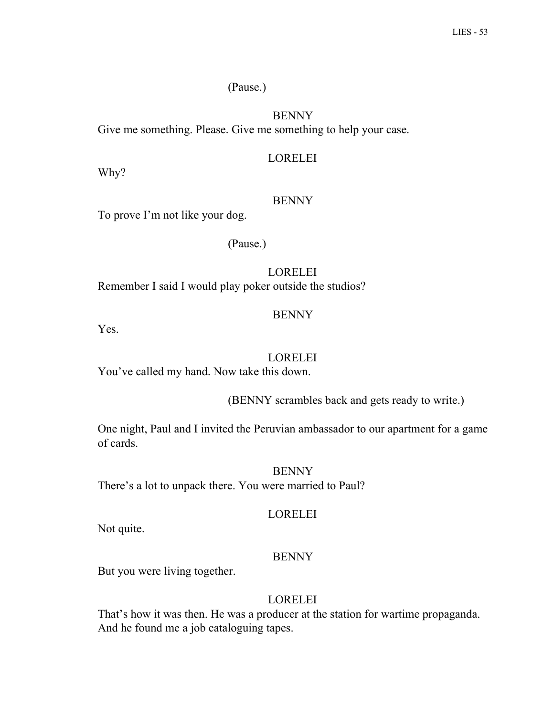## (Pause.)

# BENNY

Give me something. Please. Give me something to help your case.

# LORELEI

Why?

# **BENNY**

To prove I'm not like your dog.

(Pause.)

LORELEI Remember I said I would play poker outside the studios?

# BENNY

Yes.

# LORELEI

You've called my hand. Now take this down.

(BENNY scrambles back and gets ready to write.)

One night, Paul and I invited the Peruvian ambassador to our apartment for a game of cards.

# BENNY

There's a lot to unpack there. You were married to Paul?

# LORELEI

Not quite.

# BENNY

But you were living together.

# LORELEI

That's how it was then. He was a producer at the station for wartime propaganda. And he found me a job cataloguing tapes.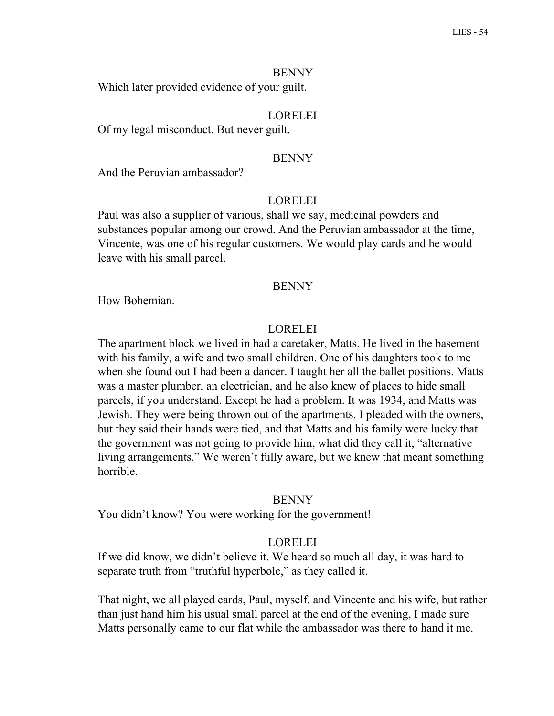Which later provided evidence of your guilt.

# LORELEI

Of my legal misconduct. But never guilt.

#### BENNY

And the Peruvian ambassador?

### LORELEI

Paul was also a supplier of various, shall we say, medicinal powders and substances popular among our crowd. And the Peruvian ambassador at the time, Vincente, was one of his regular customers. We would play cards and he would leave with his small parcel.

#### BENNY

How Bohemian.

#### LORELEI

The apartment block we lived in had a caretaker, Matts. He lived in the basement with his family, a wife and two small children. One of his daughters took to me when she found out I had been a dancer. I taught her all the ballet positions. Matts was a master plumber, an electrician, and he also knew of places to hide small parcels, if you understand. Except he had a problem. It was 1934, and Matts was Jewish. They were being thrown out of the apartments. I pleaded with the owners, but they said their hands were tied, and that Matts and his family were lucky that the government was not going to provide him, what did they call it, "alternative living arrangements." We weren't fully aware, but we knew that meant something horrible.

#### **BENNY**

You didn't know? You were working for the government!

## LORELEI

If we did know, we didn't believe it. We heard so much all day, it was hard to separate truth from "truthful hyperbole," as they called it.

That night, we all played cards, Paul, myself, and Vincente and his wife, but rather than just hand him his usual small parcel at the end of the evening, I made sure Matts personally came to our flat while the ambassador was there to hand it me.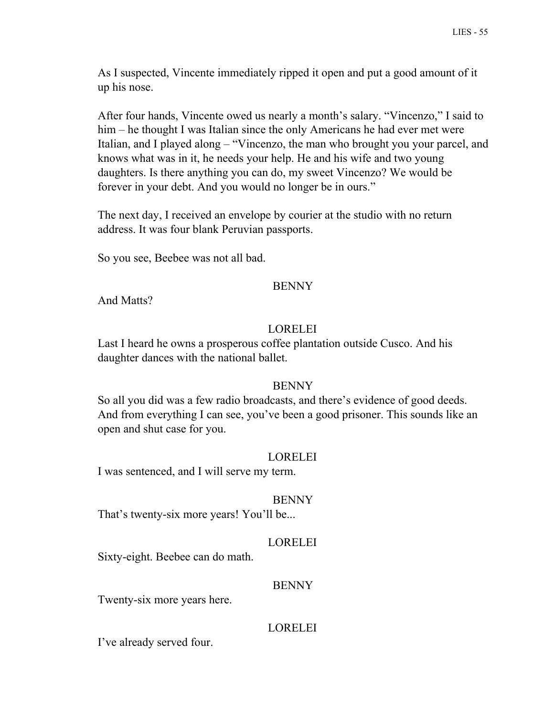As I suspected, Vincente immediately ripped it open and put a good amount of it up his nose.

After four hands, Vincente owed us nearly a month's salary. "Vincenzo," I said to him – he thought I was Italian since the only Americans he had ever met were Italian, and I played along – "Vincenzo, the man who brought you your parcel, and knows what was in it, he needs your help. He and his wife and two young daughters. Is there anything you can do, my sweet Vincenzo? We would be forever in your debt. And you would no longer be in ours."

The next day, I received an envelope by courier at the studio with no return address. It was four blank Peruvian passports.

So you see, Beebee was not all bad.

## BENNY

And Matts?

# LORELEI

Last I heard he owns a prosperous coffee plantation outside Cusco. And his daughter dances with the national ballet.

# **BENNY**

So all you did was a few radio broadcasts, and there's evidence of good deeds. And from everything I can see, you've been a good prisoner. This sounds like an open and shut case for you.

# LORELEI

I was sentenced, and I will serve my term.

### BENNY

That's twenty-six more years! You'll be...

# LORELEI

Sixty-eight. Beebee can do math.

### BENNY

Twenty-six more years here.

# LORELEI

I've already served four.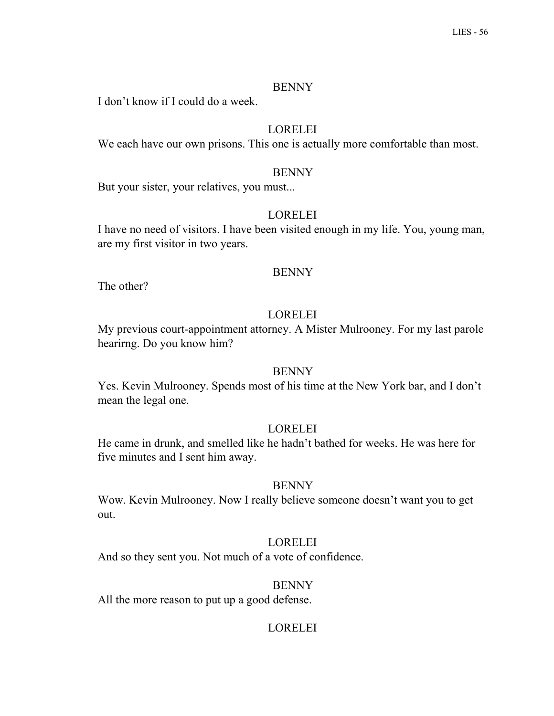I don't know if I could do a week.

# LORELEI

We each have our own prisons. This one is actually more comfortable than most.

## BENNY

But your sister, your relatives, you must...

# LORELEI

I have no need of visitors. I have been visited enough in my life. You, young man, are my first visitor in two years.

#### BENNY

The other?

# LORELEI

My previous court-appointment attorney. A Mister Mulrooney. For my last parole hearirng. Do you know him?

### BENNY

Yes. Kevin Mulrooney. Spends most of his time at the New York bar, and I don't mean the legal one.

### LORELEI

He came in drunk, and smelled like he hadn't bathed for weeks. He was here for five minutes and I sent him away.

### **BENNY**

Wow. Kevin Mulrooney. Now I really believe someone doesn't want you to get out.

## LORELEI

And so they sent you. Not much of a vote of confidence.

### BENNY

All the more reason to put up a good defense.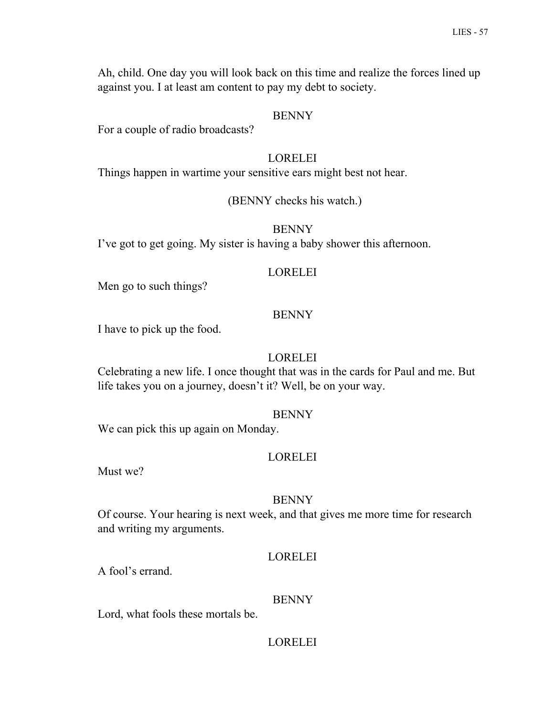Ah, child. One day you will look back on this time and realize the forces lined up against you. I at least am content to pay my debt to society.

### BENNY

For a couple of radio broadcasts?

#### LORELEI

Things happen in wartime your sensitive ears might best not hear.

#### (BENNY checks his watch.)

#### BENNY

I've got to get going. My sister is having a baby shower this afternoon.

#### LORELEI

Men go to such things?

### **BENNY**

I have to pick up the food.

### LORELEI

Celebrating a new life. I once thought that was in the cards for Paul and me. But life takes you on a journey, doesn't it? Well, be on your way.

#### BENNY

We can pick this up again on Monday.

#### LORELEI

Must we?

#### BENNY

Of course. Your hearing is next week, and that gives me more time for research and writing my arguments.

#### LORELEI

A fool's errand.

#### BENNY

Lord, what fools these mortals be.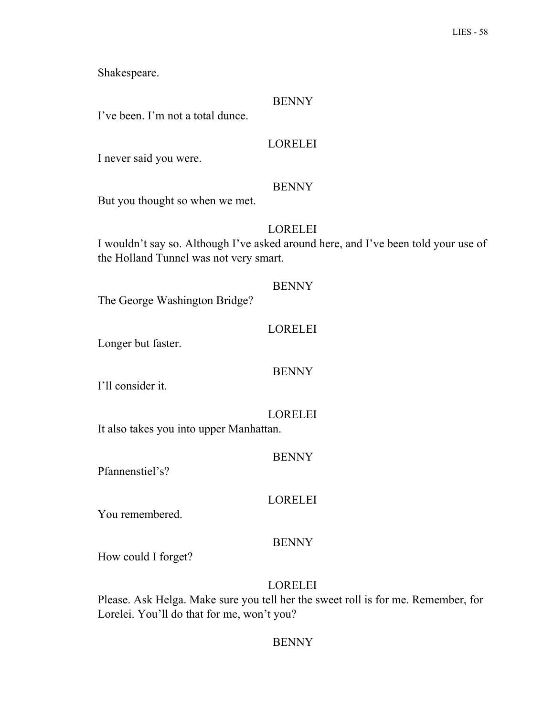Shakespeare.

## BENNY

I've been. I'm not a total dunce.

# LORELEI

I never said you were.

# BENNY

But you thought so when we met.

# LORELEI

I wouldn't say so. Although I've asked around here, and I've been told your use of the Holland Tunnel was not very smart.

### BENNY

The George Washington Bridge?

## LORELEI

Longer but faster.

# BENNY

I'll consider it.

# LORELEI

It also takes you into upper Manhattan.

BENNY

Pfannenstiel's?

# LORELEI

You remembered.

# BENNY

How could I forget?

# LORELEI

Please. Ask Helga. Make sure you tell her the sweet roll is for me. Remember, for Lorelei. You'll do that for me, won't you?

# **BENNY**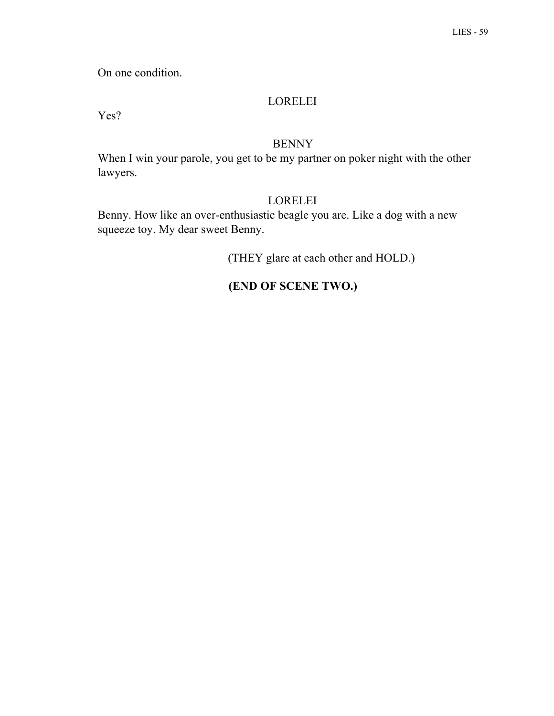On one condition.

# LORELEI

Yes?

# BENNY

When I win your parole, you get to be my partner on poker night with the other lawyers.

# LORELEI

Benny. How like an over-enthusiastic beagle you are. Like a dog with a new squeeze toy. My dear sweet Benny.

(THEY glare at each other and HOLD.)

# **(END OF SCENE TWO.)**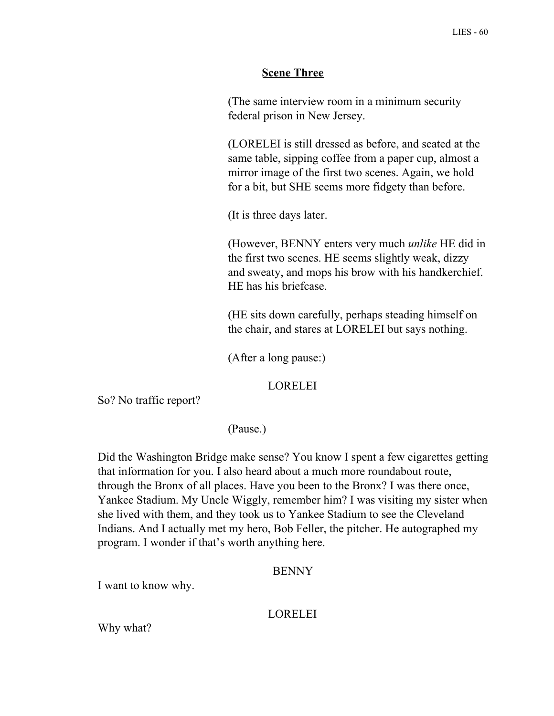# **Scene Three**

(The same interview room in a minimum security federal prison in New Jersey.

(LORELEI is still dressed as before, and seated at the same table, sipping coffee from a paper cup, almost a mirror image of the first two scenes. Again, we hold for a bit, but SHE seems more fidgety than before.

(It is three days later.

(However, BENNY enters very much *unlike* HE did in the first two scenes. HE seems slightly weak, dizzy and sweaty, and mops his brow with his handkerchief. HE has his briefcase.

(HE sits down carefully, perhaps steading himself on the chair, and stares at LORELEI but says nothing.

(After a long pause:)

## LORELEI

So? No traffic report?

(Pause.)

Did the Washington Bridge make sense? You know I spent a few cigarettes getting that information for you. I also heard about a much more roundabout route, through the Bronx of all places. Have you been to the Bronx? I was there once, Yankee Stadium. My Uncle Wiggly, remember him? I was visiting my sister when she lived with them, and they took us to Yankee Stadium to see the Cleveland Indians. And I actually met my hero, Bob Feller, the pitcher. He autographed my program. I wonder if that's worth anything here.

### BENNY

I want to know why.

# **LORELEI**

Why what?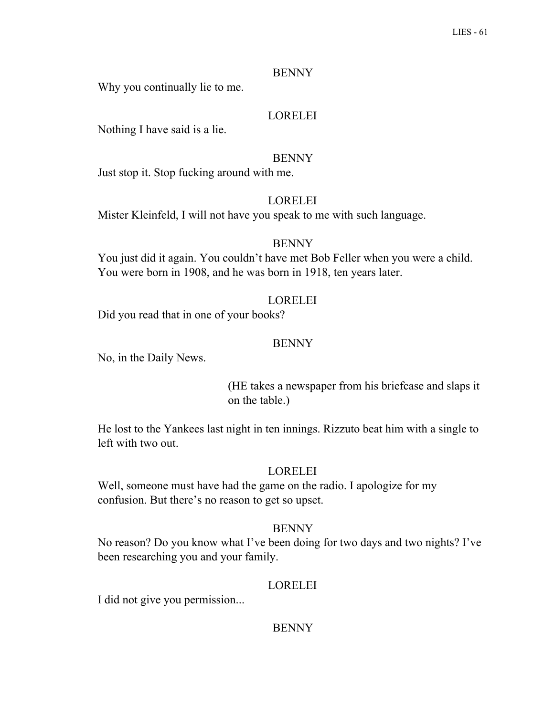Why you continually lie to me.

# LORELEI

Nothing I have said is a lie.

## BENNY

Just stop it. Stop fucking around with me.

## **LORELEI**

Mister Kleinfeld, I will not have you speak to me with such language.

## BENNY

You just did it again. You couldn't have met Bob Feller when you were a child. You were born in 1908, and he was born in 1918, ten years later.

# LORELEI

Did you read that in one of your books?

## BENNY

No, in the Daily News.

(HE takes a newspaper from his briefcase and slaps it on the table.)

He lost to the Yankees last night in ten innings. Rizzuto beat him with a single to left with two out.

# LORELEI

Well, someone must have had the game on the radio. I apologize for my confusion. But there's no reason to get so upset.

### **BENNY**

No reason? Do you know what I've been doing for two days and two nights? I've been researching you and your family.

# LORELEI

I did not give you permission...

**BENNY**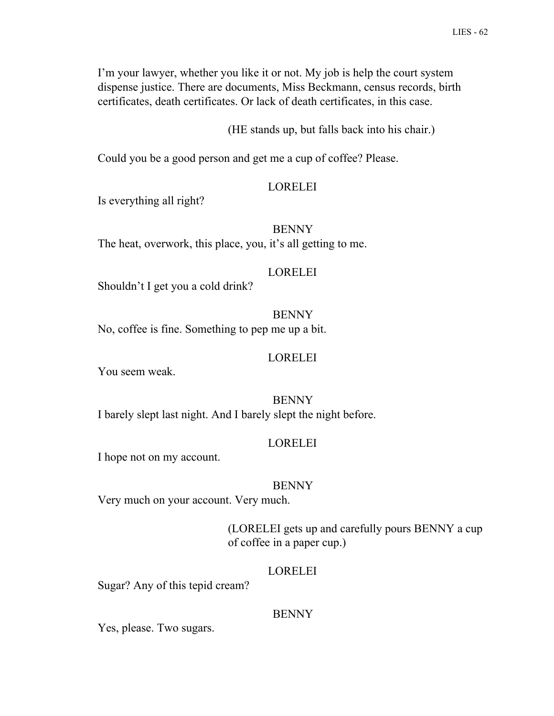I'm your lawyer, whether you like it or not. My job is help the court system dispense justice. There are documents, Miss Beckmann, census records, birth certificates, death certificates. Or lack of death certificates, in this case.

(HE stands up, but falls back into his chair.)

Could you be a good person and get me a cup of coffee? Please.

### LORELEI

Is everything all right?

BENNY The heat, overwork, this place, you, it's all getting to me.

### LORELEI

Shouldn't I get you a cold drink?

**BENNY** No, coffee is fine. Something to pep me up a bit.

### LORELEI

You seem weak.

BENNY

I barely slept last night. And I barely slept the night before.

# LORELEI

I hope not on my account.

### BENNY

Very much on your account. Very much.

(LORELEI gets up and carefully pours BENNY a cup of coffee in a paper cup.)

### LORELEI

Sugar? Any of this tepid cream?

### BENNY

Yes, please. Two sugars.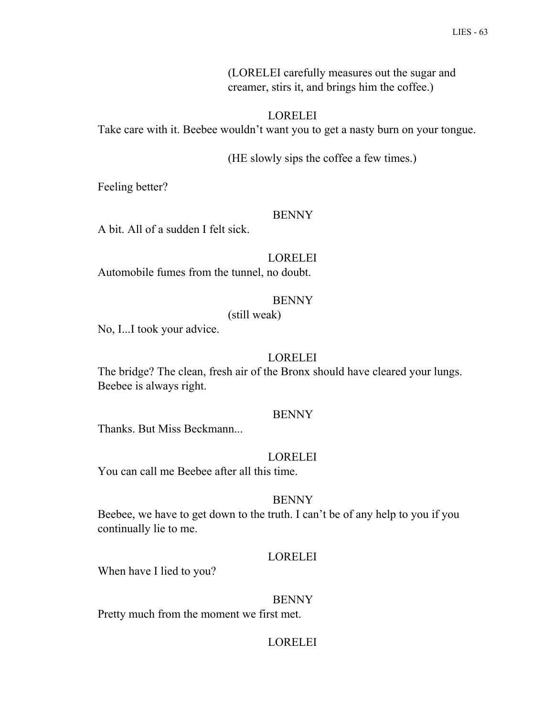(LORELEI carefully measures out the sugar and creamer, stirs it, and brings him the coffee.)

# LORELEI

Take care with it. Beebee wouldn't want you to get a nasty burn on your tongue.

(HE slowly sips the coffee a few times.)

Feeling better?

### **BENNY**

A bit. All of a sudden I felt sick.

## LORELEI

Automobile fumes from the tunnel, no doubt.

# **BENNY**

(still weak)

No, I...I took your advice.

## LORELEI

The bridge? The clean, fresh air of the Bronx should have cleared your lungs. Beebee is always right.

### **BENNY**

Thanks. But Miss Beckmann...

### LORELEI

You can call me Beebee after all this time.

### BENNY

Beebee, we have to get down to the truth. I can't be of any help to you if you continually lie to me.

### LORELEI

When have I lied to you?

### BENNY

Pretty much from the moment we first met.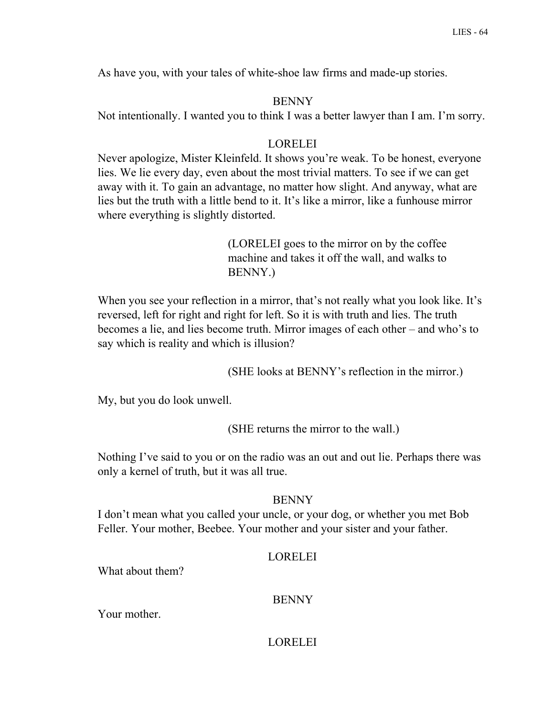As have you, with your tales of white-shoe law firms and made-up stories.

# BENNY

Not intentionally. I wanted you to think I was a better lawyer than I am. I'm sorry.

# LORELEI

Never apologize, Mister Kleinfeld. It shows you're weak. To be honest, everyone lies. We lie every day, even about the most trivial matters. To see if we can get away with it. To gain an advantage, no matter how slight. And anyway, what are lies but the truth with a little bend to it. It's like a mirror, like a funhouse mirror where everything is slightly distorted.

> (LORELEI goes to the mirror on by the coffee machine and takes it off the wall, and walks to BENNY.)

When you see your reflection in a mirror, that's not really what you look like. It's reversed, left for right and right for left. So it is with truth and lies. The truth becomes a lie, and lies become truth. Mirror images of each other – and who's to say which is reality and which is illusion?

(SHE looks at BENNY's reflection in the mirror.)

My, but you do look unwell.

(SHE returns the mirror to the wall.)

Nothing I've said to you or on the radio was an out and out lie. Perhaps there was only a kernel of truth, but it was all true.

# **BENNY**

I don't mean what you called your uncle, or your dog, or whether you met Bob Feller. Your mother, Beebee. Your mother and your sister and your father.

# LORELEI

What about them?

# BENNY

Your mother.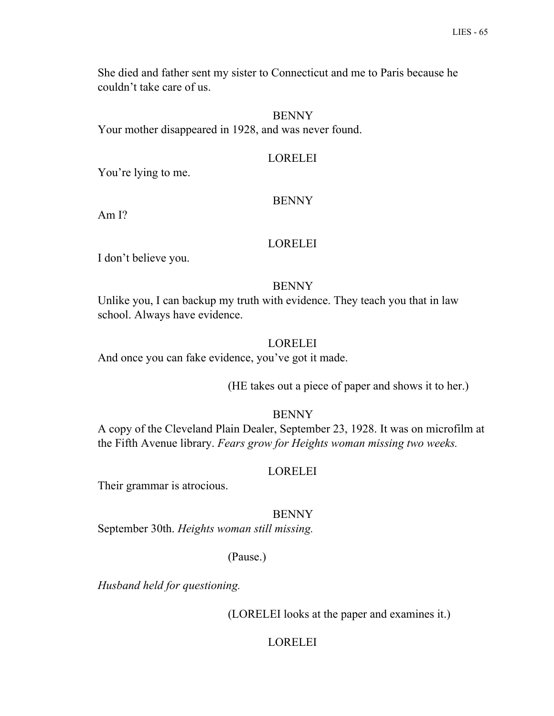She died and father sent my sister to Connecticut and me to Paris because he couldn't take care of us.

## **BENNY**

Your mother disappeared in 1928, and was never found.

## LORELEI

You're lying to me.

### **BENNY**

Am I?

### LORELEI

I don't believe you.

### BENNY

Unlike you, I can backup my truth with evidence. They teach you that in law school. Always have evidence.

## LORELEI

And once you can fake evidence, you've got it made.

(HE takes out a piece of paper and shows it to her.)

#### BENNY

A copy of the Cleveland Plain Dealer, September 23, 1928. It was on microfilm at the Fifth Avenue library. *Fears grow for Heights woman missing two weeks.*

### LORELEI

Their grammar is atrocious.

#### BENNY

September 30th. *Heights woman still missing.*

## (Pause.)

*Husband held for questioning.*

(LORELEI looks at the paper and examines it.)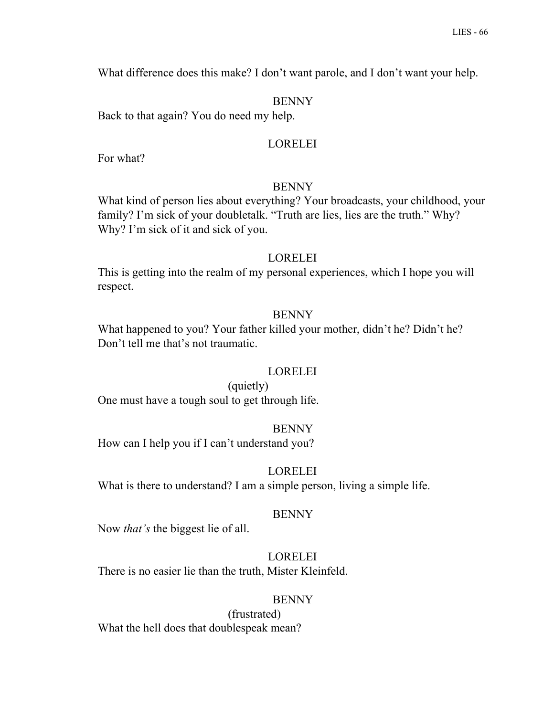What difference does this make? I don't want parole, and I don't want your help.

#### BENNY

Back to that again? You do need my help.

### LORELEI

For what?

#### **BENNY**

What kind of person lies about everything? Your broadcasts, your childhood, your family? I'm sick of your doubletalk. "Truth are lies, lies are the truth." Why? Why? I'm sick of it and sick of you.

#### LORELEI

This is getting into the realm of my personal experiences, which I hope you will respect.

#### BENNY

What happened to you? Your father killed your mother, didn't he? Didn't he? Don't tell me that's not traumatic.

#### LORELEI

(quietly) One must have a tough soul to get through life.

#### BENNY

How can I help you if I can't understand you?

#### LORELEI

What is there to understand? I am a simple person, living a simple life.

#### BENNY

Now *that's* the biggest lie of all.

# LORELEI

There is no easier lie than the truth, Mister Kleinfeld.

#### BENNY

(frustrated) What the hell does that doublespeak mean?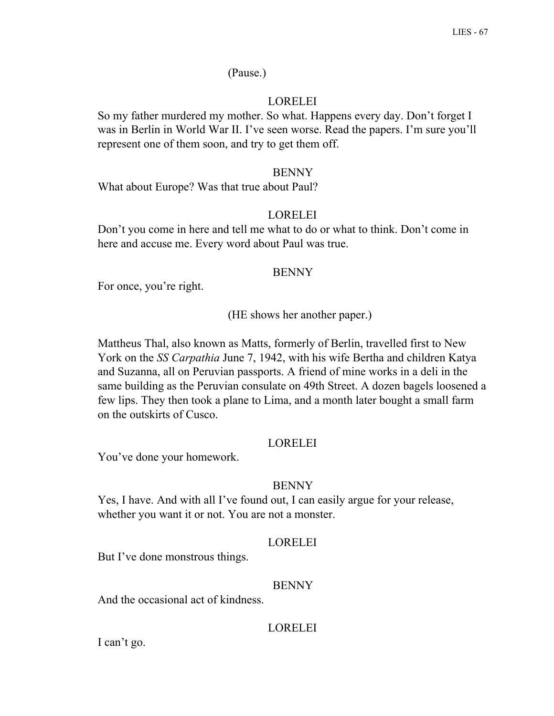# (Pause.)

## **LORELEI**

So my father murdered my mother. So what. Happens every day. Don't forget I was in Berlin in World War II. I've seen worse. Read the papers. I'm sure you'll represent one of them soon, and try to get them off.

#### BENNY

What about Europe? Was that true about Paul?

### **LORELEI**

Don't you come in here and tell me what to do or what to think. Don't come in here and accuse me. Every word about Paul was true.

#### BENNY

For once, you're right.

(HE shows her another paper.)

Mattheus Thal, also known as Matts, formerly of Berlin, travelled first to New York on the *SS Carpathia* June 7, 1942, with his wife Bertha and children Katya and Suzanna, all on Peruvian passports. A friend of mine works in a deli in the same building as the Peruvian consulate on 49th Street. A dozen bagels loosened a few lips. They then took a plane to Lima, and a month later bought a small farm on the outskirts of Cusco.

### LORELEI

You've done your homework.

#### BENNY

Yes, I have. And with all I've found out, I can easily argue for your release, whether you want it or not. You are not a monster.

#### LORELEI

But I've done monstrous things.

#### **BENNY**

And the occasional act of kindness.

### LORELEI

I can't go.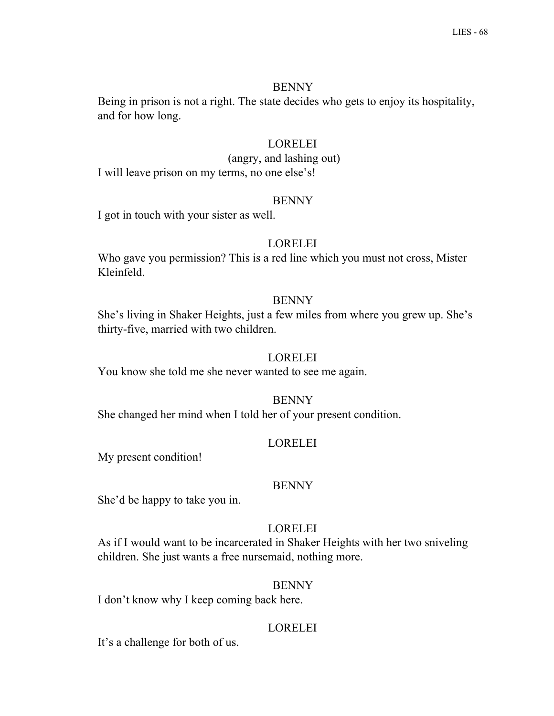Being in prison is not a right. The state decides who gets to enjoy its hospitality, and for how long.

# LORELEI

(angry, and lashing out)

I will leave prison on my terms, no one else's!

# **BENNY**

I got in touch with your sister as well.

# LORELEI

Who gave you permission? This is a red line which you must not cross, Mister Kleinfeld.

# **BENNY**

She's living in Shaker Heights, just a few miles from where you grew up. She's thirty-five, married with two children.

# LORELEI

You know she told me she never wanted to see me again.

BENNY

She changed her mind when I told her of your present condition.

# LORELEI

My present condition!

# BENNY

She'd be happy to take you in.

# LORELEI

As if I would want to be incarcerated in Shaker Heights with her two sniveling children. She just wants a free nursemaid, nothing more.

# **BENNY**

I don't know why I keep coming back here.

# LORELEI

It's a challenge for both of us.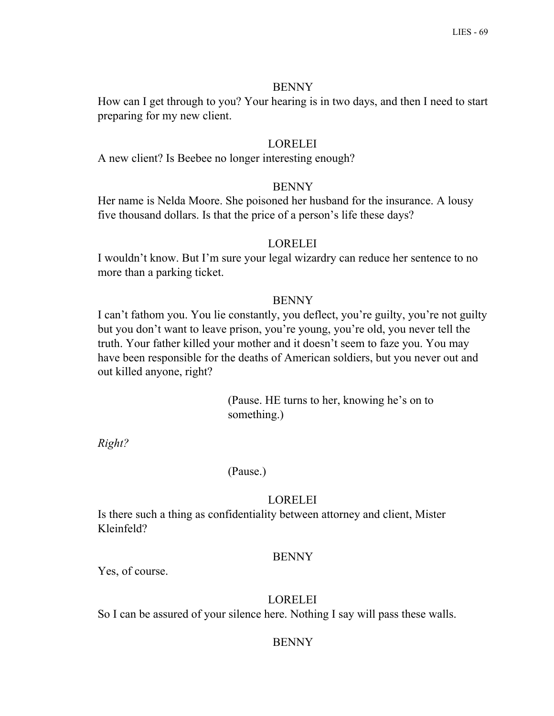How can I get through to you? Your hearing is in two days, and then I need to start preparing for my new client.

# LORELEI

A new client? Is Beebee no longer interesting enough?

# BENNY

Her name is Nelda Moore. She poisoned her husband for the insurance. A lousy five thousand dollars. Is that the price of a person's life these days?

# LORELEI

I wouldn't know. But I'm sure your legal wizardry can reduce her sentence to no more than a parking ticket.

# **BENNY**

I can't fathom you. You lie constantly, you deflect, you're guilty, you're not guilty but you don't want to leave prison, you're young, you're old, you never tell the truth. Your father killed your mother and it doesn't seem to faze you. You may have been responsible for the deaths of American soldiers, but you never out and out killed anyone, right?

> (Pause. HE turns to her, knowing he's on to something.)

*Right?*

(Pause.)

# LORELEI

Is there such a thing as confidentiality between attorney and client, Mister Kleinfeld?

# BENNY

Yes, of course.

# LORELEI

So I can be assured of your silence here. Nothing I say will pass these walls.

# **BENNY**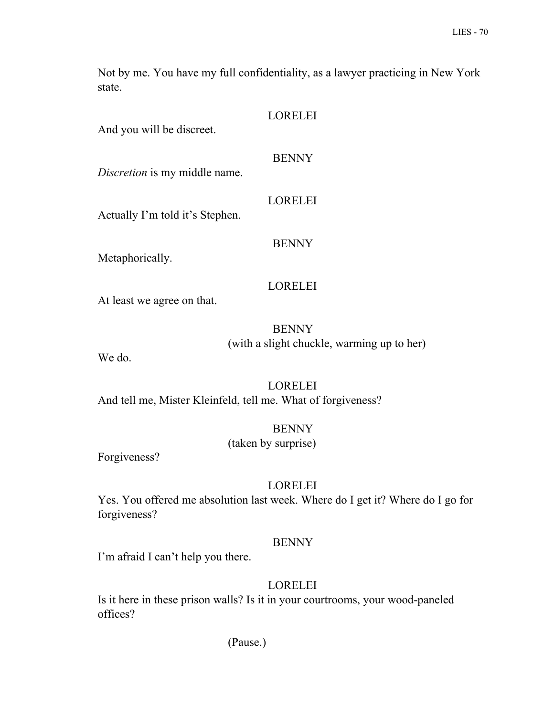Not by me. You have my full confidentiality, as a lawyer practicing in New York state.

| And you will be discreet.       | <b>LORELEI</b> |
|---------------------------------|----------------|
| Discretion is my middle name.   | <b>BENNY</b>   |
| Actually I'm told it's Stephen. | <b>LORELEI</b> |
| Metaphorically.                 | <b>BENNY</b>   |
| At least we agree on that.      | <b>LORELEI</b> |
|                                 | RENNV          |

BENNY (with a slight chuckle, warming up to her)

We do.

LORELEI And tell me, Mister Kleinfeld, tell me. What of forgiveness?

> BENNY (taken by surprise)

Forgiveness?

# LORELEI

Yes. You offered me absolution last week. Where do I get it? Where do I go for forgiveness?

# BENNY

I'm afraid I can't help you there.

# LORELEI

Is it here in these prison walls? Is it in your courtrooms, your wood-paneled offices?

(Pause.)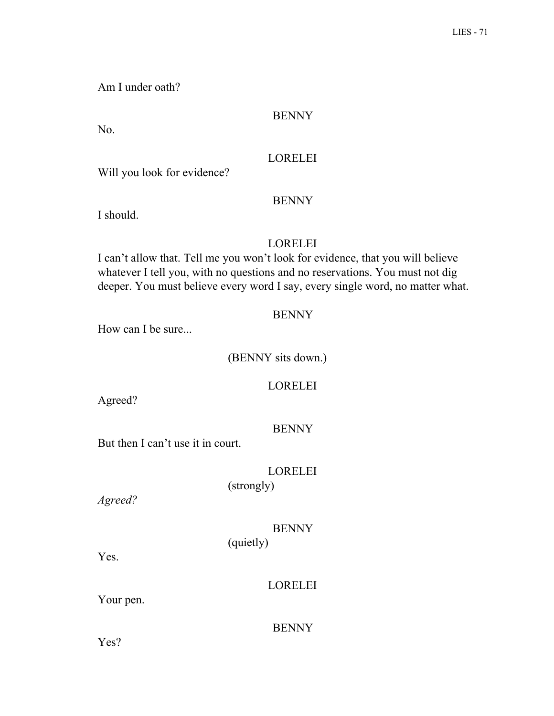Am I under oath?

# BENNY

No.

# LORELEI

Will you look for evidence?

# BENNY

I should.

# LORELEI

I can't allow that. Tell me you won't look for evidence, that you will believe whatever I tell you, with no questions and no reservations. You must not dig deeper. You must believe every word I say, every single word, no matter what.

# **BENNY**

How can I be sure...

(BENNY sits down.)

### LORELEI

Agreed?

### **BENNY**

But then I can't use it in court.

# LORELEI

(strongly)

*Agreed?*

# BENNY

(quietly)

Yes.

# LORELEI

Your pen.

# **BENNY**

Yes?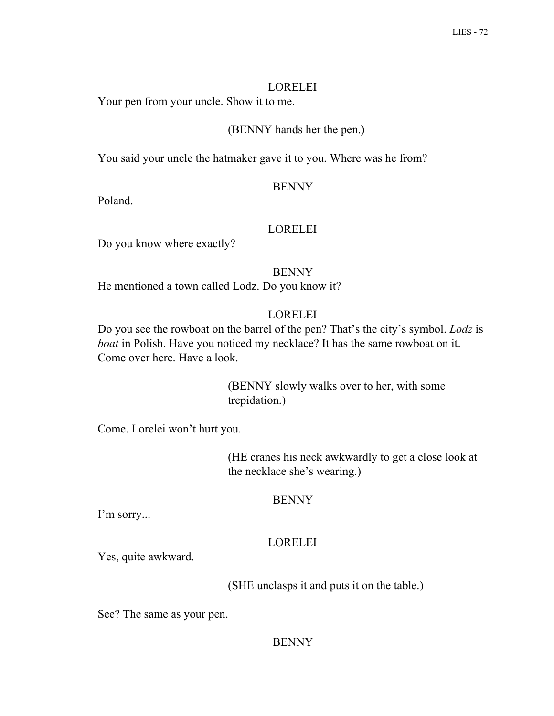### LORELEI

Your pen from your uncle. Show it to me.

### (BENNY hands her the pen.)

You said your uncle the hatmaker gave it to you. Where was he from?

### **BENNY**

Poland.

### LORELEI

Do you know where exactly?

### BENNY

He mentioned a town called Lodz. Do you know it?

# LORELEI

Do you see the rowboat on the barrel of the pen? That's the city's symbol. *Lodz* is *boat* in Polish. Have you noticed my necklace? It has the same rowboat on it. Come over here. Have a look.

> (BENNY slowly walks over to her, with some trepidation.)

Come. Lorelei won't hurt you.

(HE cranes his neck awkwardly to get a close look at the necklace she's wearing.)

### BENNY

I'm sorry...

### LORELEI

Yes, quite awkward.

(SHE unclasps it and puts it on the table.)

See? The same as your pen.

### **BENNY**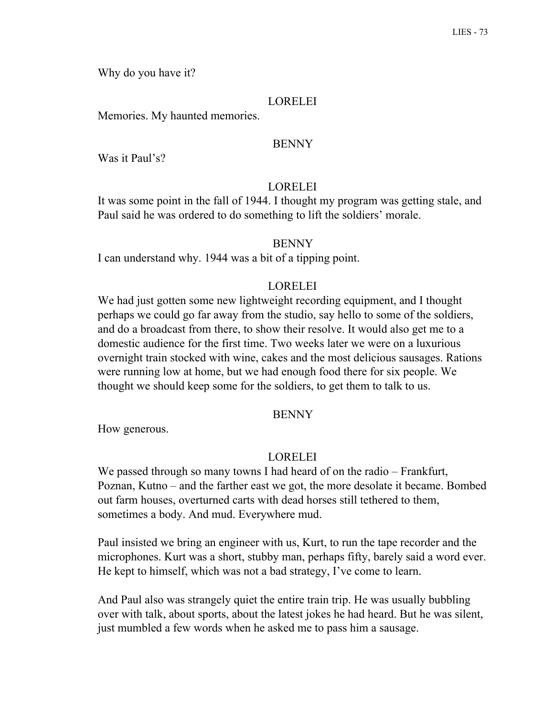Why do you have it?

### LORELEI

Memories. My haunted memories.

### **BENNY**

Was it Paul's?

### LORELEI

It was some point in the fall of 1944. I thought my program was getting stale, and Paul said he was ordered to do something to lift the soldiers' morale.

#### **BENNY**

I can understand why. 1944 was a bit of a tipping point.

### **LORELEI**

We had just gotten some new lightweight recording equipment, and I thought perhaps we could go far away from the studio, say hello to some of the soldiers, and do a broadcast from there, to show their resolve. It would also get me to a domestic audience for the first time. Two weeks later we were on a luxurious overnight train stocked with wine, cakes and the most delicious sausages. Rations were running low at home, but we had enough food there for six people. We thought we should keep some for the soldiers, to get them to talk to us.

#### **BENNY**

How generous.

#### LORELEI

We passed through so many towns I had heard of on the radio – Frankfurt, Poznan, Kutno – and the farther east we got, the more desolate it became. Bombed out farm houses, overturned carts with dead horses still tethered to them, sometimes a body. And mud. Everywhere mud.

Paul insisted we bring an engineer with us, Kurt, to run the tape recorder and the microphones. Kurt was a short, stubby man, perhaps fifty, barely said a word ever. He kept to himself, which was not a bad strategy, I've come to learn.

And Paul also was strangely quiet the entire train trip. He was usually bubbling over with talk, about sports, about the latest jokes he had heard. But he was silent, just mumbled a few words when he asked me to pass him a sausage.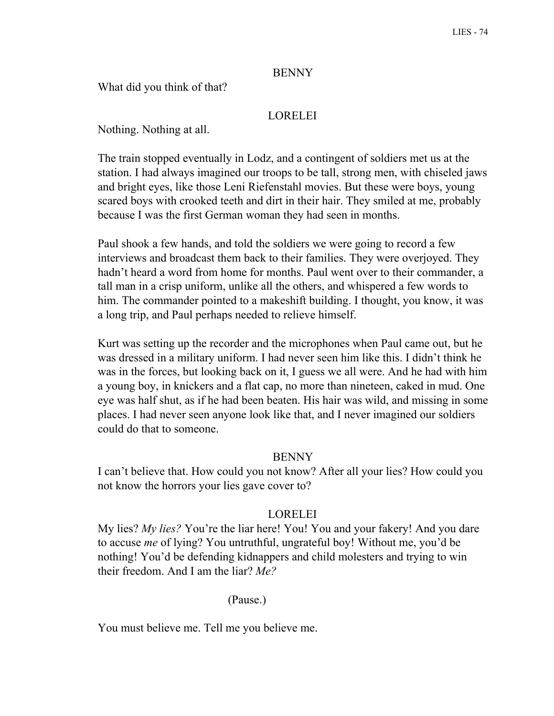### BENNY

What did you think of that?

# LORELEI

Nothing. Nothing at all.

The train stopped eventually in Lodz, and a contingent of soldiers met us at the station. I had always imagined our troops to be tall, strong men, with chiseled jaws and bright eyes, like those Leni Riefenstahl movies. But these were boys, young scared boys with crooked teeth and dirt in their hair. They smiled at me, probably because I was the first German woman they had seen in months.

Paul shook a few hands, and told the soldiers we were going to record a few interviews and broadcast them back to their families. They were overjoyed. They hadn't heard a word from home for months. Paul went over to their commander, a tall man in a crisp uniform, unlike all the others, and whispered a few words to him. The commander pointed to a makeshift building. I thought, you know, it was a long trip, and Paul perhaps needed to relieve himself.

Kurt was setting up the recorder and the microphones when Paul came out, but he was dressed in a military uniform. I had never seen him like this. I didn't think he was in the forces, but looking back on it, I guess we all were. And he had with him a young boy, in knickers and a flat cap, no more than nineteen, caked in mud. One eye was half shut, as if he had been beaten. His hair was wild, and missing in some places. I had never seen anyone look like that, and I never imagined our soldiers could do that to someone.

### BENNY

I can't believe that. How could you not know? After all your lies? How could you not know the horrors your lies gave cover to?

### LORELEI

My lies? *My lies?* You're the liar here! You! You and your fakery! And you dare to accuse *me* of lying? You untruthful, ungrateful boy! Without me, you'd be nothing! You'd be defending kidnappers and child molesters and trying to win their freedom. And I am the liar? *Me?*

### (Pause.)

You must believe me. Tell me you believe me.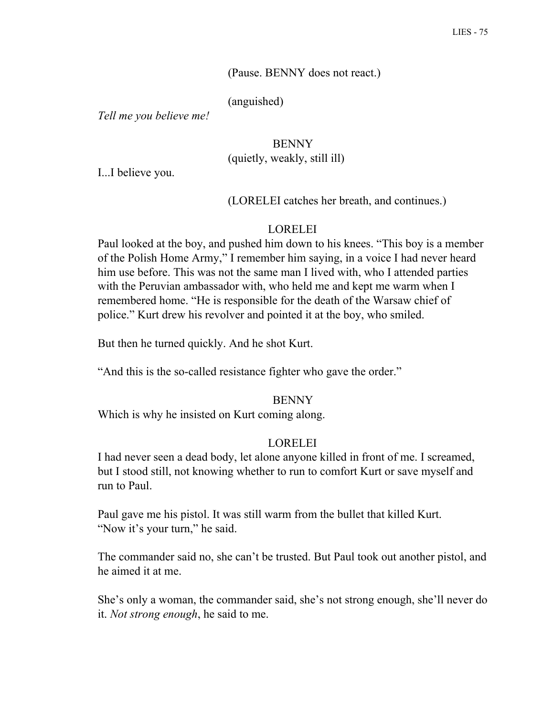### (Pause. BENNY does not react.)

(anguished)

*Tell me you believe me!*

# **BENNY** (quietly, weakly, still ill)

I...I believe you.

#### (LORELEI catches her breath, and continues.)

#### LORELEI

Paul looked at the boy, and pushed him down to his knees. "This boy is a member of the Polish Home Army," I remember him saying, in a voice I had never heard him use before. This was not the same man I lived with, who I attended parties with the Peruvian ambassador with, who held me and kept me warm when I remembered home. "He is responsible for the death of the Warsaw chief of police." Kurt drew his revolver and pointed it at the boy, who smiled.

But then he turned quickly. And he shot Kurt.

"And this is the so-called resistance fighter who gave the order."

#### **BENNY**

Which is why he insisted on Kurt coming along.

#### LORELEI

I had never seen a dead body, let alone anyone killed in front of me. I screamed, but I stood still, not knowing whether to run to comfort Kurt or save myself and run to Paul.

Paul gave me his pistol. It was still warm from the bullet that killed Kurt. "Now it's your turn," he said.

The commander said no, she can't be trusted. But Paul took out another pistol, and he aimed it at me.

She's only a woman, the commander said, she's not strong enough, she'll never do it. *Not strong enough*, he said to me.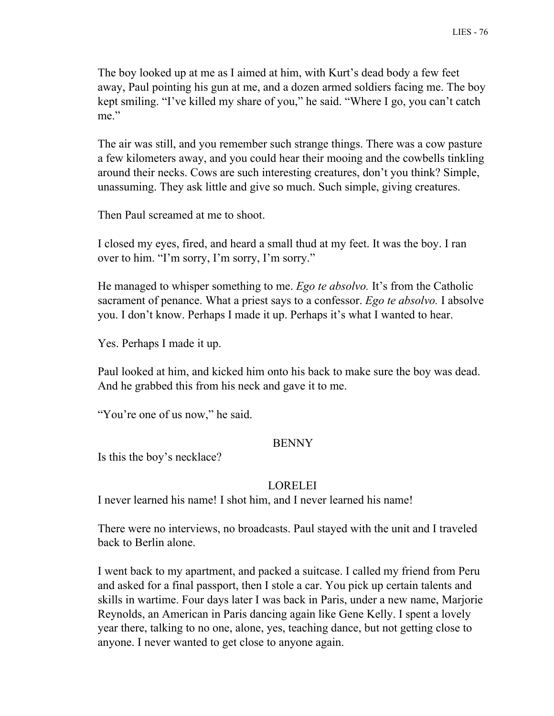The boy looked up at me as I aimed at him, with Kurt's dead body a few feet away, Paul pointing his gun at me, and a dozen armed soldiers facing me. The boy kept smiling. "I've killed my share of you," he said. "Where I go, you can't catch me."

The air was still, and you remember such strange things. There was a cow pasture a few kilometers away, and you could hear their mooing and the cowbells tinkling around their necks. Cows are such interesting creatures, don't you think? Simple, unassuming. They ask little and give so much. Such simple, giving creatures.

Then Paul screamed at me to shoot.

I closed my eyes, fired, and heard a small thud at my feet. It was the boy. I ran over to him. "I'm sorry, I'm sorry, I'm sorry."

He managed to whisper something to me. *Ego te absolvo.* It's from the Catholic sacrament of penance. What a priest says to a confessor. *Ego te absolvo.* I absolve you. I don't know. Perhaps I made it up. Perhaps it's what I wanted to hear.

Yes. Perhaps I made it up.

Paul looked at him, and kicked him onto his back to make sure the boy was dead. And he grabbed this from his neck and gave it to me.

"You're one of us now," he said.

#### BENNY

Is this the boy's necklace?

#### LORELEI

I never learned his name! I shot him, and I never learned his name!

There were no interviews, no broadcasts. Paul stayed with the unit and I traveled back to Berlin alone.

I went back to my apartment, and packed a suitcase. I called my friend from Peru and asked for a final passport, then I stole a car. You pick up certain talents and skills in wartime. Four days later I was back in Paris, under a new name, Marjorie Reynolds, an American in Paris dancing again like Gene Kelly. I spent a lovely year there, talking to no one, alone, yes, teaching dance, but not getting close to anyone. I never wanted to get close to anyone again.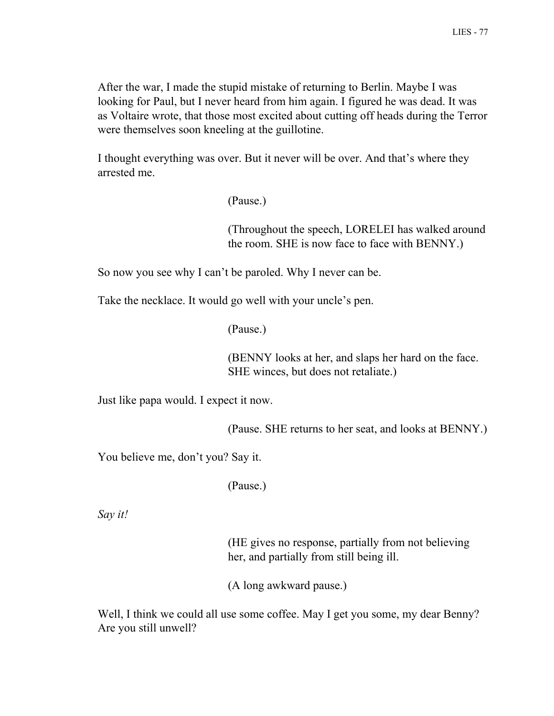After the war, I made the stupid mistake of returning to Berlin. Maybe I was looking for Paul, but I never heard from him again. I figured he was dead. It was as Voltaire wrote, that those most excited about cutting off heads during the Terror were themselves soon kneeling at the guillotine.

I thought everything was over. But it never will be over. And that's where they arrested me.

(Pause.)

(Throughout the speech, LORELEI has walked around the room. SHE is now face to face with BENNY.)

So now you see why I can't be paroled. Why I never can be.

Take the necklace. It would go well with your uncle's pen.

(Pause.)

(BENNY looks at her, and slaps her hard on the face. SHE winces, but does not retaliate.)

Just like papa would. I expect it now.

(Pause. SHE returns to her seat, and looks at BENNY.)

You believe me, don't you? Say it.

(Pause.)

*Say it!*

(HE gives no response, partially from not believing her, and partially from still being ill.

(A long awkward pause.)

Well, I think we could all use some coffee. May I get you some, my dear Benny? Are you still unwell?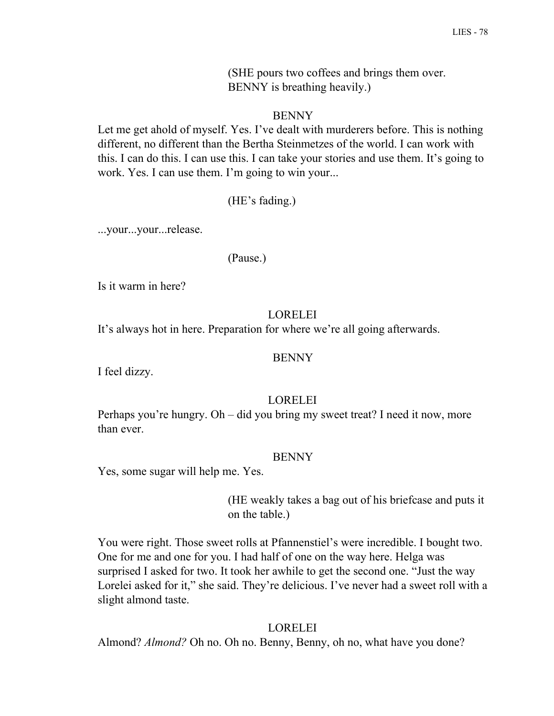(SHE pours two coffees and brings them over. BENNY is breathing heavily.)

### BENNY

Let me get ahold of myself. Yes. I've dealt with murderers before. This is nothing different, no different than the Bertha Steinmetzes of the world. I can work with this. I can do this. I can use this. I can take your stories and use them. It's going to work. Yes. I can use them. I'm going to win your...

(HE's fading.)

...your...your...release.

(Pause.)

Is it warm in here?

#### **LORELEI**

It's always hot in here. Preparation for where we're all going afterwards.

#### BENNY

I feel dizzy.

### LORELEI

Perhaps you're hungry. Oh – did you bring my sweet treat? I need it now, more than ever.

#### BENNY

Yes, some sugar will help me. Yes.

(HE weakly takes a bag out of his briefcase and puts it on the table.)

You were right. Those sweet rolls at Pfannenstiel's were incredible. I bought two. One for me and one for you. I had half of one on the way here. Helga was surprised I asked for two. It took her awhile to get the second one. "Just the way Lorelei asked for it," she said. They're delicious. I've never had a sweet roll with a slight almond taste.

### LORELEI

Almond? *Almond?* Oh no. Oh no. Benny, Benny, oh no, what have you done?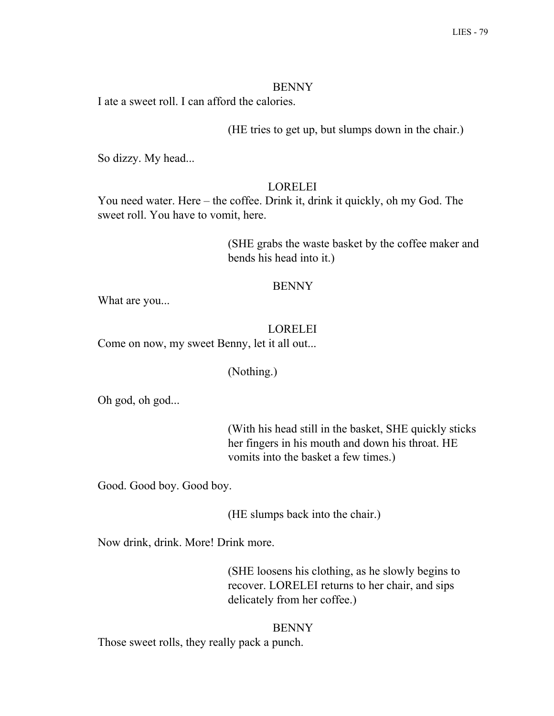#### **BENNY**

I ate a sweet roll. I can afford the calories.

(HE tries to get up, but slumps down in the chair.)

So dizzy. My head...

### LORELEI

You need water. Here – the coffee. Drink it, drink it quickly, oh my God. The sweet roll. You have to vomit, here.

> (SHE grabs the waste basket by the coffee maker and bends his head into it.)

#### BENNY

What are you...

#### LORELEI

Come on now, my sweet Benny, let it all out...

### (Nothing.)

Oh god, oh god...

(With his head still in the basket, SHE quickly sticks her fingers in his mouth and down his throat. HE vomits into the basket a few times.)

Good. Good boy. Good boy.

(HE slumps back into the chair.)

Now drink, drink. More! Drink more.

(SHE loosens his clothing, as he slowly begins to recover. LORELEI returns to her chair, and sips delicately from her coffee.)

#### **BENNY**

Those sweet rolls, they really pack a punch.